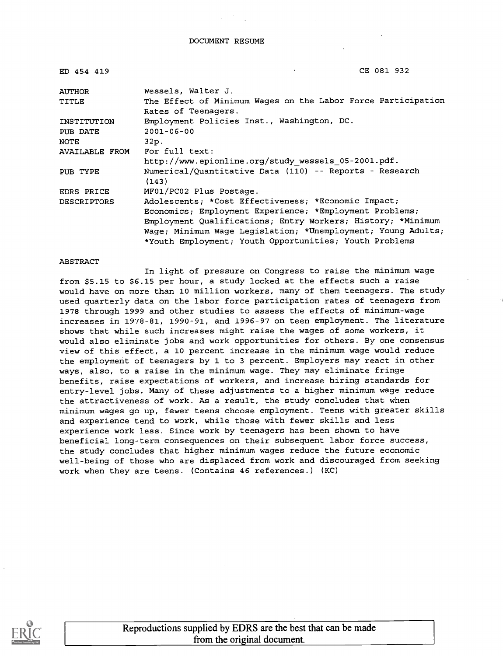| ED 454 419         | CE 081 932                                                       |
|--------------------|------------------------------------------------------------------|
| <b>AUTHOR</b>      | Wessels, Walter J.                                               |
| TITLE              | The Effect of Minimum Wages on the Labor Force Participation     |
|                    | Rates of Teenagers.                                              |
| INSTITUTION        | Employment Policies Inst., Washington, DC.                       |
| PUB DATE           | $2001 - 06 - 00$                                                 |
| NOTE               | 32p.                                                             |
| AVAILABLE FROM     | For full text:                                                   |
|                    | http://www.epionline.org/study wessels 05-2001.pdf.              |
| PUB TYPE           | Numerical/Quantitative Data (110) -- Reports - Research<br>(143) |
| <b>EDRS PRICE</b>  | MF01/PC02 Plus Postage.                                          |
| <b>DESCRIPTORS</b> | Adolescents; *Cost Effectiveness; *Economic Impact;              |
|                    | Economics; Employment Experience; *Employment Problems;          |
|                    | Employment Qualifications; Entry Workers; History; *Minimum      |
|                    | Waqe; Minimum Wage Legislation; *Unemployment; Young Adults;     |
|                    | *Youth Employment; Youth Opportunities; Youth Problems           |

#### ABSTRACT

In light of pressure on Congress to raise the minimum wage from \$5.15 to \$6.15 per hour, a study looked at the effects such a raise would have on more than 10 million workers, many of them teenagers. The study used quarterly data on the labor force participation rates of teenagers from 1978 through 1999 and other studies to assess the effects of minimum-wage increases in 1978-81, 1990-91, and 1996-97 on teen employment. The literature shows that while such increases might raise the wages of some workers, it would also eliminate jobs and work opportunities for others. By one consensus view of this effect, a 10 percent increase in the minimum wage would reduce the employment of teenagers by 1 to 3 percent. Employers may react in other ways, also, to a raise in the minimum wage. They may eliminate fringe benefits, raise expectations of workers, and increase hiring standards for entry-level jobs. Many of these adjustments to a higher minimum wage reduce the attractiveness of work. As a result, the study concludes that when minimum wages go up, fewer teens choose employment. Teens with greater skills and experience tend to work, while those with fewer skills and less experience work less. Since work by teenagers has been shown to have beneficial long-term consequences on their subsequent labor force success, the study concludes that higher minimum wages reduce the future economic well-being of those who are displaced from work and discouraged from seeking work when they are teens. (Contains 46 references.) (KC)

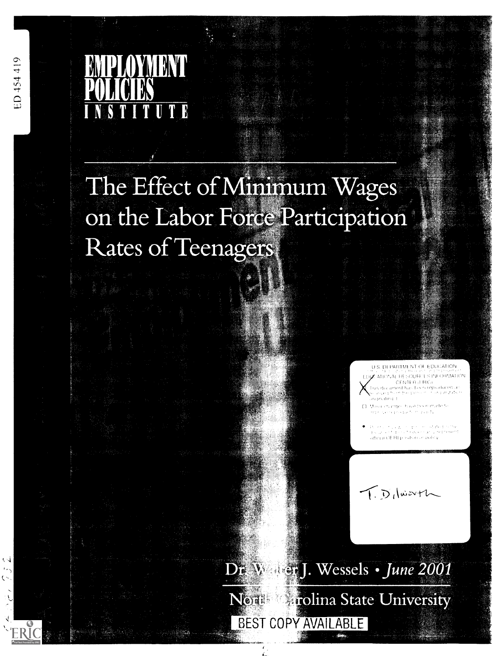ED 454 419



# The Effect of Minimum Wages UI I OIIGGIL dI UUIDAUU Rates of Teenagers

U.S. DEPARTMENT OF EDUCATION  $\mu$  at ional the source sine ormation CENTER († RIC)<br>11jis decembris has been reproduced a<br>10. marchi ham been province in technik tab r produsting

Malacionanges have been made to<br>lenge secretiveable historically

.<br>De et al travaur en procession de l'est<br>de la caracter de la Reversation testielle afficial OF REposition or policy.

T. D. luarth

 $\mathrm{Dr}_* \, \mathrm{W}_*$  (er. J. Wessels  $\,\cdot\,$  June 2001 Arolina State University Nem BEST COPY AVAILABLE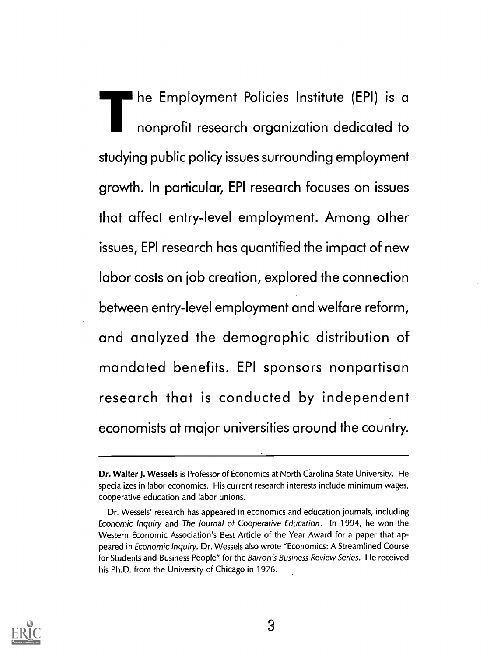he Employment Policies Institute (EPI) is a nonprofit research organization dedicated to studying public policy issues surrounding employment growth. In particular, EPI research focuses on issues that affect entry-level employment. Among other issues, EPI research has quantified the impact of new labor costs on job creation, explored the connection between entry-level employment and welfare reform, and analyzed the demographic distribution of mandated benefits. EPI sponsors nonpartisan research that is conducted by independent economists at major universities around the country.



Dr. Walter J. Wessels is Professor of Economics at North Carolina State University. He specializes in labor economics. His current research interests include minimum wages, cooperative education and labor unions.

Dr. Wessels' research has appeared in economics and education journals, including Economic Inquiry and The Journal of Cooperative Education. In 1994, he won the Western Economic Association's Best Article of the Year Award for a paper that appeared in Economic Inquiry. Dr. Wessels also wrote "Economics: A Streamlined Course for Students and Business People" for the Barron's Business Review Series. He received his Ph.D. from the University of Chicago in 1976.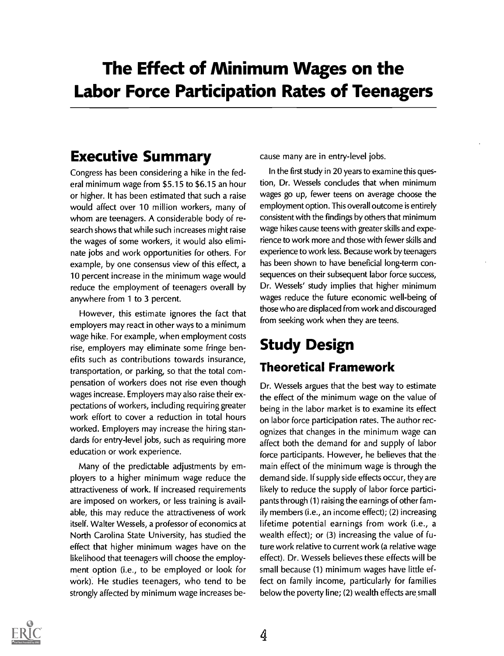### The Effect of Minimum Wages on the Labor Force Participation Rates of Teenagers

#### Executive Summary

Congress has been considering a hike in the federal minimum wage from \$5.15 to \$6.15 an hour or higher. It has been estimated that such a raise would affect over 10 million workers, many of whom are teenagers. A considerable body of research shows that while such increases might raise the wages of some workers, it would also eliminate jobs and work opportunities for others. For example, by one consensus view of this effect, a 10 percent increase in the minimum wage would reduce the employment of teenagers overall by anywhere from 1 to 3 percent.

However, this estimate ignores the fact that employers may react in other ways to a minimum wage hike. For example, when employment costs rise, employers may eliminate some fringe benefits such as contributions towards insurance, transportation, or parking, so that the total compensation of workers does not rise even though wages increase. Employers may also raise their expectations of workers, including requiring greater work effort to cover a reduction in total hours worked. Employers may increase the hiring standards for entry-level jobs, such as requiring more education or work experience.

Many of the predictable adjustments by employers to a higher minimum wage reduce the attractiveness of work. If increased requirements are imposed on workers, or less training is available, this may reduce the attractiveness of work itself. Walter Wessels, a professor of economics at North Carolina State University, has studied the effect that higher minimum wages have on the likelihood that teenagers will choose the employment option (i.e., to be employed or look for work). He studies teenagers, who tend to be strongly affected by minimum wage increases because many are in entry-level jobs.

In the first study in 20 years to examine this question, Dr. Wessels concludes that when minimum wages go up, fewer teens on average choose the employment option. This overall outcome is entirely consistent with the findings by others that minimum wage hikes cause teens with greater skills and experience to work more and those with fewer skills and experience to work less. Because work by teenagers has been shown to have beneficial long-term consequences on their subsequent labor force success, Dr. Wessels' study implies that higher minimum wages reduce the future economic well-being of those who are displaced from work and discouraged from seeking work when they are teens.

### Study Design Theoretical Framework

Dr. Wessels argues that the best way to estimate the effect of the minimum wage on the value of being in the labor market is to examine its effect on labor force participation rates. The author recognizes that changes in the minimum wage can affect both the demand for and supply of labor force participants. However, he believes that the main effect of the minimum wage is through the demand side. If supply side effects occur, they are likely to reduce the supply of labor force participants through (1) raising the earnings of other family members (i.e., an income effect); (2) increasing lifetime potential earnings from work (i.e., a wealth effect); or (3) increasing the value of future work relative to current work (a relative wage effect). Dr. Wessels believes these effects will be small because (1) minimum wages have little effect on family income, particularly for families below the poverty line; (2) wealth effects are small

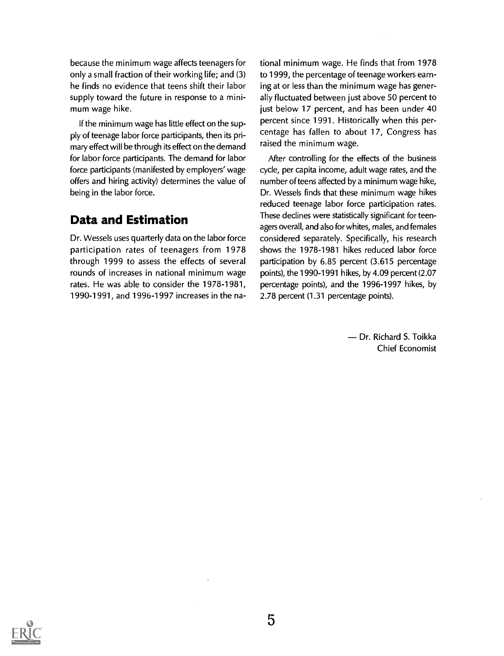because the minimum wage affects teenagers for only a small fraction of their working life; and (3) he finds no evidence that teens shift their labor supply toward the future in response to a minimum wage hike.

If the minimum wage has little effect on the supply of teenage labor force participants, then its primary effect will be through its effect on the demand for labor force participants. The demand for labor force participants (manifested by employers' wage offers and hiring activity) determines the value of being in the labor force.

#### Data and Estimation

Dr. Wessels uses quarterly data on the labor force participation rates of teenagers from 1978 through 1999 to assess the effects of several rounds of increases in national minimum wage rates. He was able to consider the 1978-1981, 1990-1991, and 1996-1997 increases in the national minimum wage. He finds that from 1978 to 1999, the percentage of teenage workers earning at or less than the minimum wage has generally fluctuated between just above 50 percent to just below 17 percent, and has been under 40 percent since 1991. Historically when this percentage has fallen to about 17, Congress has raised the minimum wage.

After controlling for the effects of the business cycle, per capita income, adult wage rates, and the number of teens affected by a minimum wage hike, Dr. Wessels finds that these minimum wage hikes reduced teenage labor force participation rates. These declines were statistically significant for teenagers overall, and also for whites, males, and females considered separately. Specifically, his research shows the 1978-1981 hikes reduced labor force participation by 6.85 percent (3.615 percentage points), the 1990-1991 hikes, by 4.09 percent (2.07 percentage points), and the 1996-1997 hikes, by 2.78 percent (1.31 percentage points).

> Dr. Richard S. Toikka Chief Economist

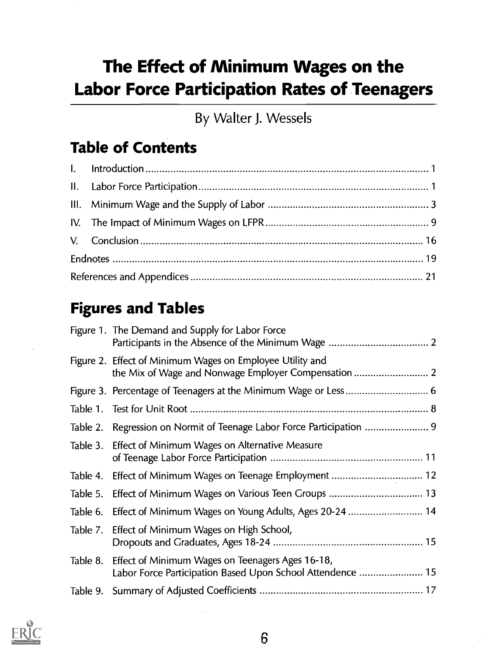## The Effect of Minimum Wages on the Labor Force Participation Rates of Teenagers

By Walter J. Wessels

### Table of Contents

### Figures and Tables

|          | Figure 1. The Demand and Supply for Labor Force                                                                |
|----------|----------------------------------------------------------------------------------------------------------------|
|          | Figure 2. Effect of Minimum Wages on Employee Utility and                                                      |
|          |                                                                                                                |
|          |                                                                                                                |
|          |                                                                                                                |
|          | Table 3. Effect of Minimum Wages on Alternative Measure                                                        |
|          | Table 4. Effect of Minimum Wages on Teenage Employment  12                                                     |
|          |                                                                                                                |
|          |                                                                                                                |
|          | Table 7. Effect of Minimum Wages on High School,                                                               |
| Table 8. | Effect of Minimum Wages on Teenagers Ages 16-18,<br>Labor Force Participation Based Upon School Attendence  15 |
|          |                                                                                                                |

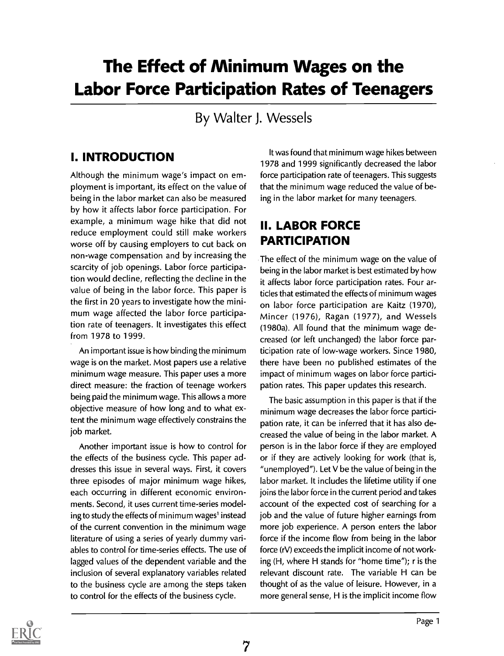### The Effect of Minimum Wages on the Labor Force Participation Rates of Teenagers

By Walter J. Wessels

#### I. INTRODUCTION

Although the minimum wage's impact on employment is important, its effect on the value of being in the labor market can also be measured by how it affects labor force participation. For example, a minimum wage hike that did not reduce employment could still make workers worse off by causing employers to cut back on non-wage compensation and by increasing the scarcity of job openings. Labor force participation would decline, reflecting the decline in the value of being in the labor force. This paper is the first in 20 years to investigate how the minimum wage affected the labor force participation rate of teenagers. It investigates this effect from 1978 to 1999.

An important issue is how binding the minimum wage is on the market. Most papers use a relative minimum wage measure. This paper uses a more direct measure: the fraction of teenage workers being paid the minimum wage. This allows a more objective measure of how long and to what extent the minimum wage effectively constrains the job market.

Another important issue is how to control for the effects of the business cycle. This paper addresses this issue in several ways. First, it covers three episodes of major minimum wage hikes, each occurring in different economic environments. Second, it uses current time-series modeling to study the effects of minimum wages' instead of the current convention in the minimum wage literature of using a series of yearly dummy variables to control for time-series effects. The use of lagged values of the dependent variable and the inclusion of several explanatory variables related to the business cycle are among the steps taken to control for the effects of the business cycle.

7

It was found that minimum wage hikes between 1978 and 1999 significantly decreased the labor force participation rate of teenagers. This suggests that the minimum wage reduced the value of being in the labor market for many teenagers.

#### II. LABOR FORCE PARTICIPATION

The effect of the minimum wage on the value of being in the labor market is best estimated by how it affects labor force participation rates. Four articles that estimated the effects of minimum wages on labor force participation are Kaitz (1970), Mincer (1976), Ragan (1977), and Wessels (1980a). All found that the minimum wage decreased (or left unchanged) the labor force participation rate of low-wage workers. Since 1980, there have been no published estimates of the impact of minimum wages on labor force participation rates. This paper updates this research.

The basic assumption in this paper is that if the minimum wage decreases the labor force participation rate, it can be inferred that it has also decreased the value of being in the labor market. A person is in the labor force if they are employed or if they are actively looking for work (that is, "unemployed"). Let V be the value of being in the labor market. It includes the lifetime utility if one joins the labor force in the current period and takes account of the expected cost of searching for a job and the value of future higher earnings from more job experience. A person enters the labor force if the income flow from being in the labor force (rV) exceeds the implicit income of not working (H, where H stands for "home time"); r is the relevant discount rate. The variable H can be thought of as the value of leisure. However, in a more general sense, H is the implicit income flow

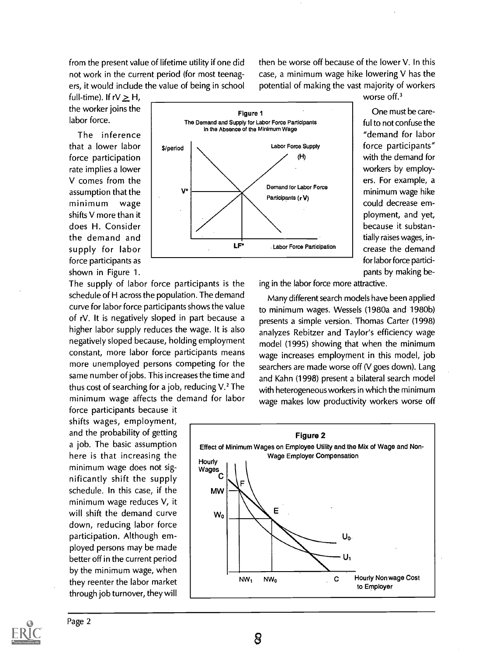from the present value of lifetime utility if one did not work in the current period (for most teenagers, it would include the value of being in school then be worse off because of the lower V. In this case, a minimum wage hike lowering V has the potential of making the vast majority of workers

full-time). If  $rV \geq H$ , the worker joins the labor force.

The inference that a lower labor force participation rate implies a lower V comes from the assumption that the minimum wage shifts V more than it does H. Consider the demand and supply for labor force participants as shown in Figure 1.



worse off.<sup>3</sup>

One must be careful to not confuse the "demand for labor force participants" with the demand for workers by employers. For example, a minimum wage hike could decrease employment, and yet, because it substantially raises wages, increase the demand for labor force participants by making be-

The supply of labor force participants is the schedule of H across the population. The demand curve for labor force participants shows the value of rV. It is negatively sloped in part because a higher labor supply reduces the wage. It is also negatively sloped because, holding employment constant, more labor force participants means more unemployed persons competing for the same number of jobs. This increases the time and thus cost of searching for a job, reducing  $V<sup>2</sup>$ . The minimum wage affects the demand for labor

force participants because it shifts wages, employment, and the probability of getting a job. The basic assumption here is that increasing the | Hourly minimum wage does not significantly shift the supply schedule. In this case, if the minimum wage reduces V, it will shift the demand curve  $\begin{bmatrix} w_0 \end{bmatrix}$ down, reducing labor force participation. Although employed persons may be made better off in the current period by the minimum wage, when they reenter the labor market through job turnover, they will

ing in the labor force more attractive.

Many different search models have been applied to minimum wages. Wessels (1980a and 1980b) presents a simple version. Thomas Carter (1998) analyzes Rebitzer and Taylor's efficiency wage model (1995) showing that when the minimum wage increases employment in this model, job searchers are made worse off (V goes down). Lang and Kahn (1998) present a bilateral search model with heterogeneous workers in which the minimum wage makes low productivity workers worse off



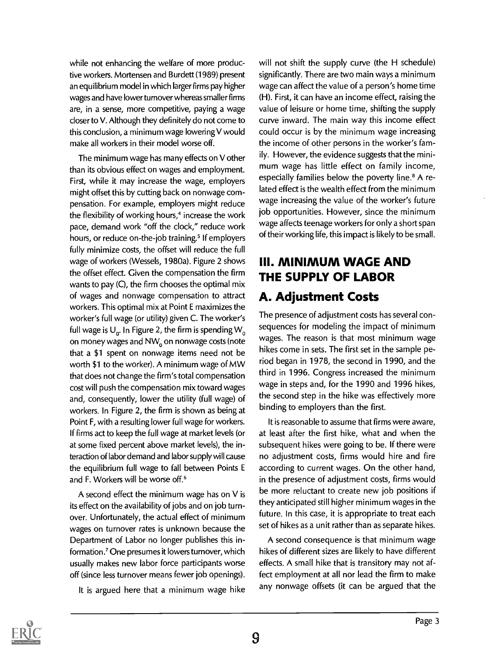while not enhancing the welfare of more productive workers. Mortensen and Burdett (1989) present an equilibrium model in which larger firms pay higher wages and have lower turnover whereas smaller firms are, in a sense, more competitive, paying a wage closer to V. Although they definitely do not come to this conclusion, a minimum wage lowering V would make all workers in their model worse off.

The minimum wage has many effects on V other than its obvious effect on wages and employment. First, while it may increase the wage, employers might offset this by cutting back on nonwage compensation. For example, employers might reduce the flexibility of working hours,<sup>4</sup> increase the work pace, demand work "off the clock," reduce work hours, or reduce on-the-job training.<sup>5</sup> If employers fully minimize costs, the offset will reduce the full wage of workers (Wessels, 1980a). Figure 2 shows the offset effect. Given the compensation the firm wants to pay (C), the firm chooses the optimal mix of wages and nonwage compensation to attract workers. This optimal mix at Point E maximizes the worker's full wage (or utility) given C. The worker's full wage is  $U_0$ . In Figure 2, the firm is spending  $W_0$ on money wages and NW<sub>0</sub> on nonwage costs (note that a \$1 spent on nonwage items need not be worth \$1 to the worker). A minimum wage of MW that does not change the firm's total compensation cost will push the compensation mix toward wages and, consequently, lower the utility (full wage) of workers. In Figure 2, the firm is shown as being at Point F, with a resulting lower full wage for workers. If firms act to keep the full wage at market levels (or at some fixed percent above market levels), the interaction of labor demand and labor supply will cause the equilibrium full wage to fall between Points E and F. Workers will be worse off.'

A second effect the minimum wage has on V is its effect on the availability of jobs and on job turnover. Unfortunately, the actual effect of minimum wages on turnover rates is unknown because the Department of Labor no longer publishes this information.' One presumes it lowers turnover, which usually makes new labor force participants worse off (since less turnover means fewer job openings).

It is argued here that a minimum wage hike

will not shift the supply curve (the H schedule) significantly. There are two main ways a minimum wage can affect the value of a person's home time (H). First, it can have an income effect, raising the value of leisure or home time, shifting the supply curve inward. The main way this income effect could occur is by the minimum wage increasing the income of other persons in the worker's family. However, the evidence suggests that the minimum wage has little effect on family income, especially families below the poverty line.<sup>8</sup> A related effect is the wealth effect from the minimum wage increasing the value of the worker's future job opportunities. However, since the minimum wage affects teenage workers for only a short span of their working life, this impact is likely to be small.

#### III. MINIMUM WAGE AND THE SUPPLY OF LABOR A. Adjustment Costs

The presence of adjustment costs has several consequences for modeling the impact of minimum wages. The reason is that most minimum wage hikes come in sets. The first set in the sample period began in 1978, the second in 1990, and the third in 1996. Congress increased the minimum wage in steps and, for the 1990 and 1996 hikes, the second step in the hike was effectively more binding to employers than the first.

It is reasonable to assume that firms were aware, at least after the first hike, what and when the subsequent hikes were going to be. If there were no adjustment costs, firms would hire and fire according to current wages. On the other hand, in the presence of adjustment costs, firms would be more reluctant to create new job positions if they anticipated still higher minimum wages in the future. In this case, it is appropriate to treat each set of hikes as a unit rather than as separate hikes.

A second consequence is that minimum wage hikes of different sizes are likely to have different effects. A small hike that is transitory may not affect employment at all nor lead the firm to make any nonwage offsets (it can be argued that the

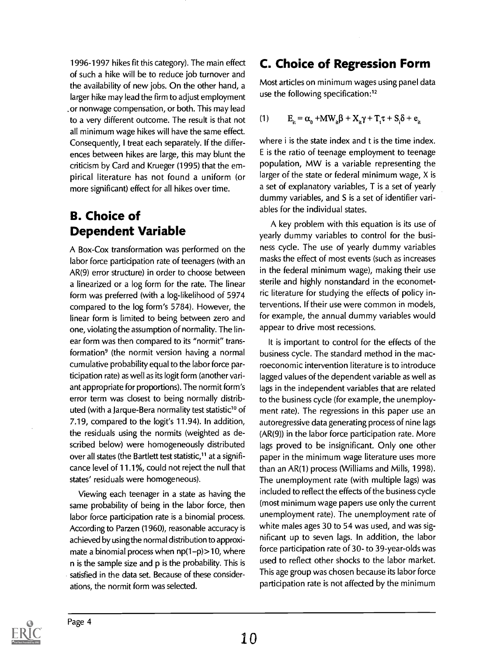1996-1997 hikes fit this category). The main effect of such a hike will be to reduce job turnover and the availability of new jobs. On the other hand, a larger hike may lead the firm to adjust employment .or nonwage compensation, or both. This may lead to a very different outcome. The result is that not all minimum wage hikes will have the same effect. Consequently, I treat each separately. If the differences between hikes are large, this may blunt the criticism by Card and Krueger (1995) that the empirical literature has not found a uniform (or more significant) effect for all hikes over time.

#### B. Choice of Dependent Variable

A Box-Cox transformation was performed on the labor force participation rate of teenagers (with an AR(9) error structure) in order to choose between a linearized or a log form for the rate. The linear form was preferred (with a log-likelihood of 5974 compared to the log form's 5784). However, the linear form is limited to being between zero and one, violating the assumption of normality. The linear form was then compared to its "normit" transformation<sup>9</sup> (the normit version having a normal cumulative probability equal to the labor force participation rate) as well as its logit form (another variant appropriate for proportions). The normit form's error term was closest to being normally distributed (with a Jarque-Bera normality test statistic<sup>10</sup> of 7.19, compared to the  $logit's$  11.94). In addition, the residuals using the normits (weighted as described below) were homogeneously distributed over all states (the Bartlett test statistic,<sup>11</sup> at a significance level of 11.1%, could not reject the null that states' residuals were homogeneous).

Viewing each teenager in a state as having the same probability of being in the labor force, then labor force participation rate is a binomial process. According to Parzen (1960), reasonable accuracy is achieved by using the normal distribution to approximate a binomial process when  $np(1-p)$  > 10, where n is the sample size and p is the probability. This is satisfied in the data set. Because of these considerations, the normit form was selected.

#### C. Choice of Regression Form

Most articles on minimum wages using panel data use the following specification:12

$$
(1) \qquad E_{\mathbf{i}} = \alpha_{0} + \mathbf{M} \mathbf{W}_{\mathbf{i}} \boldsymbol{\beta} + \mathbf{X}_{\mathbf{i}} \boldsymbol{\gamma} + \mathbf{T}_{\mathbf{i}} \boldsymbol{\tau} + \mathbf{S}_{\mathbf{i}} \boldsymbol{\delta} + \mathbf{e}_{\mathbf{i}}
$$

where i is the state index and t is the time index. E is the ratio of teenage employment to teenage population, MW is a variable representing the larger of the state or federal minimum wage, X is a set of explanatory variables, T is a set of yearly dummy variables, and S is a set of identifier variables for the individual states.

A key problem with this equation is its use of yearly dummy variables to control for the business cycle. The use of yearly dummy variables masks the effect of most events (such as increases in the federal minimum wage), making their use sterile and highly nonstandard in the econometric literature for studying the effects of policy interventions. If their use were common in models, for example, the annual dummy variables would appear to drive most recessions.

It is important to control for the effects of the business cycle. The standard method in the macroeconomic intervention literature is to introduce lagged values of the dependent variable as well as lags in the independent variables that are related to the business cycle (for example, the unemployment rate). The regressions in this paper use an autoregressive data generating process of nine lags (AR(9)) in the labor force participation rate. More lags proved to be insignificant. Only one other paper in the minimum wage literature uses more than an AR(1) process (Williams and Mills, 1998). The unemployment rate (with multiple lags) was included to reflect the effects of the business cycle (most minimum wage papers use only the current unemployment rate). The unemployment rate of white males ages 30 to 54 was used, and was significant up to seven lags. In addition, the labor force participation rate of 30- to 39-year-olds was used to reflect other shocks to the labor market. This age group was chosen because its labor force participation rate is not affected by the minimum

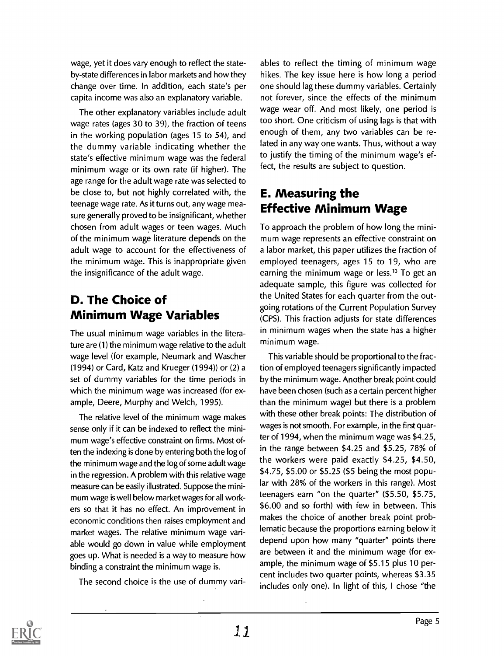wage, yet it does vary enough to reflect the stateby-state differences in labor markets and how they change over time. In addition, each state's per capita income was also an explanatory variable.

The other explanatory variables include adult wage rates (ages 30 to 39), the fraction of teens in the working population (ages 15 to 54), and the dummy variable indicating whether the state's effective minimum wage was the federal minimum wage or its own rate (if higher). The age range for the adult wage rate was selected to be close to, but not highly correlated with, the teenage wage rate. As it turns out, any wage measure generally proved to be insignificant, whether chosen from adult wages or teen wages. Much of the minimum wage literature depends on the adult wage to account for the effectiveness of the minimum wage. This is inappropriate given the insignificance of the adult wage.

#### D. The Choice of Minimum Wage Variables

The usual minimum wage variables in the literature are (1) the minimum wage relative to the adult wage level (for example, Neumark and Wascher (1994) or Card, Katz and Krueger (1994)) or (2) a set of dummy variables for the time periods in which the minimum wage was increased (for example, Deere, Murphy and Welch, 1995).

The relative level of the minimum wage makes sense only if it can be indexed to reflect the minimum wage's effective constraint on firms. Most often the indexing is done by entering both the log of the minimum wage and the log of some adult wage in the regression. A problem with this relative wage measure can be easily illustrated. Suppose the minimum wage is well below market wages for all workers so that it has no effect. An improvement in economic conditions then raises employment and market wages. The relative minimum wage variable would go down in value while employment goes up. What is needed is a way to measure how binding a constraint the minimum wage is.

The second choice is the use of dummy vari-

ables to reflect the timing of minimum wage hikes. The key issue here is how long a period one should lag these dummy variables. Certainly not forever, since the effects of the minimum wage wear off. And most likely, one period is too short. One criticism of using lags is that with enough of them, any two variables can be related in any way one wants. Thus, without a way to justify the timing of the minimum wage's effect, the results are subject to question.

#### E. Measuring the Effective Minimum Wage

To approach the problem of how long the minimum wage represents an effective constraint on a labor market, this paper utilizes the fraction of employed teenagers, ages 15 to 19, who are earning the minimum wage or less.<sup>13</sup> To get an adequate sample, this figure was collected for the United States for each quarter from the outgoing rotations of the Current Population Survey (CPS). This fraction adjusts for state differences in minimum wages when the state has a higher minimum wage.

This variable should be proportional to the fraction of employed teenagers significantly impacted by the minimum wage. Another break point could have been chosen (such as a certain percent higher than the minimum wage) but there is a problem with these other break points: The distribution of wages is not smooth. For example, in the first quarter of 1994, when the minimum wage was \$4.25, in the range between \$4.25 and \$5.25, 78% of the workers were paid exactly \$4.25, \$4.50, \$4.75, \$5.00 or \$5.25 (\$5 being the most popular with 28% of the workers in this range). Most teenagers earn "on the quarter" (\$5.50, \$5.75, \$6.00 and so forth) with few in between. This makes the choice of another break point problematic because the proportions earning below it depend upon how many "quarter" points there are between it and the minimum wage (for example, the minimum wage of \$5.15 plus 10 percent includes two quarter points, whereas \$3.35 includes only one). In light of this, I chose "the

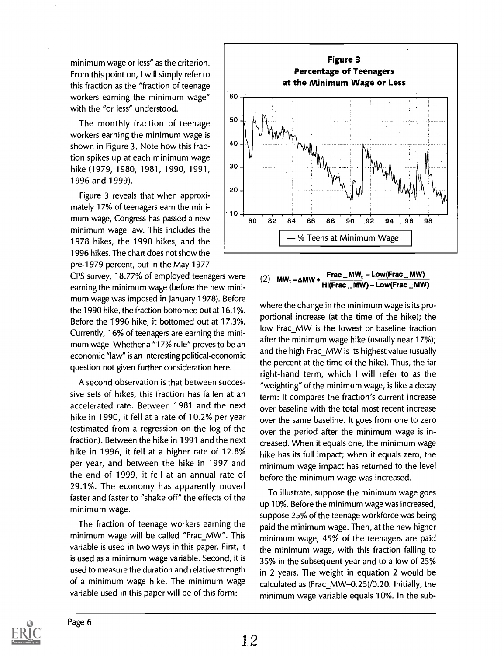minimum wage or less" as the criterion. From this point on, I will simply refer to this fraction as the "fraction of teenage workers earning the minimum wage" with the "or less" understood.

The monthly fraction of teenage workers earning the minimum wage is  $\begin{bmatrix} 40 \\ 40 \end{bmatrix}$ shown in Figure 3. Note how this fraction spikes up at each minimum wage hike (1979, 1980, 1981, 1990, 1991, 1996 and 1999).

Figure 3 reveals that when approximately 17% of teenagers earn the minimum wage, Congress has passed a new minimum wage law. This includes the 1978 hikes, the 1990 hikes, and the 1996 hikes. The chart does not show the pre-1979 percent, but in the May 1977

CPS survey, 18.77% of employed teenagers were  $(2)$  MW<sub>t</sub> =  $\Delta$ MW • earning the minimum wage (before the new minimum wage was imposed in January 1978). Before the 1990 hike, the fraction bottomed out at 16.1%. Before the 1996 hike, it bottomed out at 17.3%. Currently, 16% of teenagers are earning the minimum wage. Whether a "17% rule" proves to be an economic "law" is an interesting political-economic question not given further consideration here.

A second observation is that between successive sets of hikes, this fraction has fallen at an accelerated rate. Between 1981 and the next hike in 1990, it fell at a rate of 10.2% per year (estimated from a regression on the log of the fraction). Between the hike in 1991 and the next hike in 1996, it fell at a higher rate of 12.8% per year, and between the hike in 1997 and the end of 1999, it fell at an annual rate of 29.1%. The economy has apparently moved faster and faster to "shake off" the effects of the minimum wage.

The fraction of teenage workers earning the minimum wage will be called "Frac\_MW". This variable is used in two ways in this paper. First, it is used as a minimum wage variable. Second, it is used to measure the duration and relative strength of a minimum wage hike. The minimum wage variable used in this paper will be of this form:



#### $Frac_{M}MW_{1}-Low(Frac_{M}MW)$  $Hi(Frac$  \_ MW) - Low(Frac \_ MW)

where the change in the minimum wage is its proportional increase (at the time of the hike); the low Frac\_MW is the lowest or baseline fraction after the minimum wage hike (usually near 17%); and the high Frac\_MW is its highest value (usually the percent at the time of the hike). Thus, the far right-hand term, which I will refer to as the "weighting" of the minimum wage, is like a decay term: It compares the fraction's current increase over baseline with the total most recent increase over the same baseline. It goes from one to zero over the period after the minimum wage is increased. When it equals one, the minimum wage hike has its full impact; when it equals zero, the minimum wage impact has returned to the level before the minimum wage was increased.

To illustrate, suppose the minimum wage goes up 10%. Before the minimum wage was increased, suppose 25% of the teenage workforce was being paid the minimum wage. Then, at the new higher minimum wage, 45% of the teenagers are paid the minimum wage, with this fraction falling to 35% in the subsequent year and to a low of 25% in 2 years. The weight in equation 2 would be calculated as (Frac\_MW-0.25)/0.20. Initially, the minimum wage variable equals 10%. In the sub-

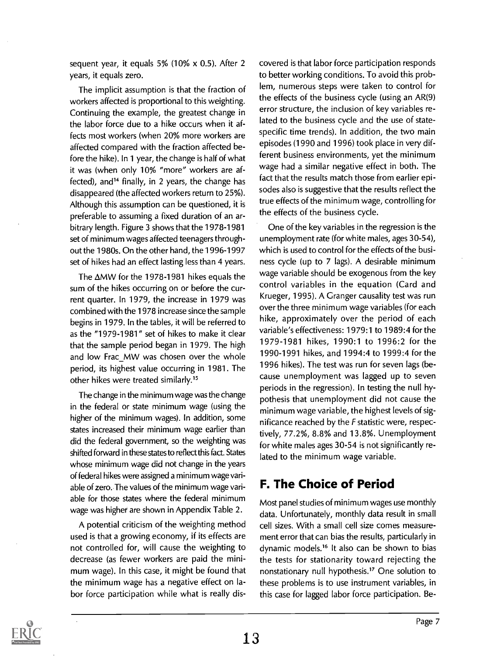sequent year, it equals 5% (10% x 0.5). After 2 years, it equals zero.

The implicit assumption is that the fraction of workers affected is proportional to this weighting. Continuing the example, the greatest change in the labor force due to a hike occurs when it affects most workers (when 20% more workers are affected compared with the fraction affected before the hike). In 1 year, the change is half of what it was (when only 10% "more" workers are affected), and<sup>14</sup> finally, in 2 years, the change has disappeared (the affected workers return to 25%). Although this assumption can be questioned, it is preferable to assuming a fixed duration of an arbitrary length. Figure 3 shows that the 1978-1981 set of minimum wages affected teenagers throughout the 1980s. On the other hand, the 1996-1997 set of hikes had an effect lasting less than 4 years.

The  $\Delta$ MW for the 1978-1981 hikes equals the sum of the hikes occurring on or before the current quarter. In 1979, the increase in 1979 was combined with the 1978 increase since the sample begins in 1979. In the tables, it will be referred to as the "1979-1981" set of hikes to make it clear that the sample period began in 1979. The high and low Frac\_MW was chosen over the whole period, its highest value occurring in 1981. The other hikes were treated similarly."

The change in the minimum wage was the change in the federal or state minimum wage (using the higher of the minimum wages). In addition, some states increased their minimum wage earlier than did the federal government, so the weighting was shifted forward in these states to reflect this fact. States whose minimum wage did not change in the years of federal hikes were assigned a minimum wage variable of zero. The values of the minimum wage variable for those states where the federal minimum wage was higher are shown in Appendix Table 2.

A potential criticism of the weighting method used is that a growing economy, if its effects are not controlled for, will cause the weighting to decrease (as fewer workers are paid the minimum wage). In this case, it might be found that the minimum wage has a negative effect on labor force participation while what is really discovered is that labor force participation responds to better working conditions. To avoid this problem, numerous steps were taken to control for the effects of the business cycle (using an AR(9) error structure, the inclusion of key variables related to the business cycle and the use of statespecific time trends). In addition, the two main episodes (1990 and 1996) took place in very different business environments, yet the minimum wage had a similar negative effect in both. The fact that the results match those from earlier episodes also is suggestive that the results reflect the true effects of the minimum wage, controlling for the effects of the business cycle.

One of the key variables in the regression is the unemployment rate (for white males, ages 30-54), which is used to control for the effects of the business cycle (up to 7 lags). A desirable minimum wage variable should be exogenous from the key control variables in the equation (Card and Krueger, 1995). A Granger causality test was run over the three minimum wage variables (for each hike, approximately over the period of each variable's effectiveness: 1979:1 to 1989:4 for the 1979-1981 hikes, 1990:1 to 1996:2 for the 1990-1991 hikes, and 1994:4 to 1999:4 for the 1996 hikes). The test was run for seven lags (because unemployment was lagged up to seven periods in the regression). In testing the null hypothesis that unemployment did not cause the minimum wage variable, the highest levels of significance reached by the  $F$  statistic were, respectively, 77.2%, 8.8% and 13.8%. Unemployment for white males ages 30-54 is not significantly related to the minimum wage variable.

#### F. The Choice of Period

Most panel studies of minimum wages use monthly data. Unfortunately, monthly data result in small cell sizes. With a small cell size comes measurement error that can bias the results, particularly in dynamic models.<sup>16</sup> It also can be shown to bias the tests for stationarity toward rejecting the nonstationary null hypothesis.17 One solution to these problems is to use instrument variables, in this case for lagged labor force participation. Be-

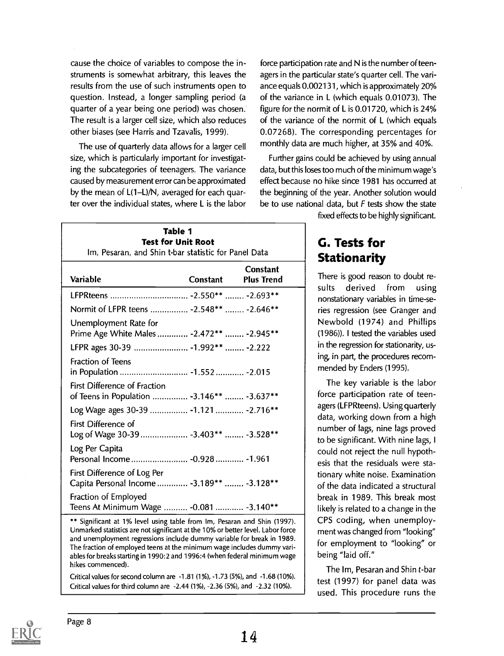cause the choice of variables to compose the instruments is somewhat arbitrary, this leaves the results from the use of such instruments open to question. Instead, a longer sampling period (a quarter of a year being one period) was chosen. The result is a larger cell size, which also reduces other biases (see Harris and Tzavalis, 1999).

The use of quarterly data allows for a larger cell size, which is particularly important for investigating the subcategories of teenagers. The variance caused by measurement error can be approximated by the mean of  $L(1-L)/N$ , averaged for each quarter over the individual states, where L is the labor

force participation rate and N is the number of teenagers in the particular state's quarter cell. The variance equals 0.002131, which is approximately 20% of the variance in L (which equals 0.01073). The figure for the normit of L is 0.01720, which is 24% of the variance of the normit of L (which equals 0.07268). The corresponding percentages for monthly data are much higher, at 35% and 40%.

Further gains could be achieved by using annual data, but this loses too much of the minimum wage's effect because no hike since 1981 has occurred at the beginning of the year. Another solution would be to use national data, but  $F$  tests show the state fixed effects to be highly significant.

| Table 1<br><b>Test for Unit Root</b><br>Im, Pesaran, and Shin t-bar statistic for Panel Data |          |                                      |  |  |
|----------------------------------------------------------------------------------------------|----------|--------------------------------------|--|--|
| <b>Variable</b>                                                                              | Constant | <b>Constant</b><br><b>Plus Trend</b> |  |  |
|                                                                                              |          |                                      |  |  |
| Normit of LFPR teens  - 2.548**  - 2.646**                                                   |          |                                      |  |  |
| Unemployment Rate for<br>Prime Age White Males  - 2.472**  - 2.945**                         |          |                                      |  |  |
| LFPR ages 30-39  -1.992**  -2.222                                                            |          |                                      |  |  |
| Fraction of Teens<br>in Population  -1.552  -2.015                                           |          |                                      |  |  |
| <b>First Difference of Fraction</b><br>of Teens in Population  - 3.146**  - 3.637**          |          |                                      |  |  |
| Log Wage ages 30-39  -1.121  -2.716**                                                        |          |                                      |  |  |
| First Difference of<br>Log of Wage 30-39  -3.403**  -3.528**                                 |          |                                      |  |  |
| Log Per Capita<br>Personal Income - 0.928 - 1.961                                            |          |                                      |  |  |
| First Difference of Log Per<br>Capita Personal Income  - 3.189**  - 3.128**                  |          |                                      |  |  |
| Fraction of Employed<br>Teens At Minimum Wage  - 0.081  - 3.140**                            |          |                                      |  |  |

\*\* Significant at 1% level using table from Im, Pesaran and Shin (1997). Unmarked statistics are not significant at the 10% or better level. Labor force and unemployment regressions include dummy variable for break in 1989. The fraction of employed teens at the minimum wage includes dummy variables for breaks starting in 1990:2 and 1996:4 (when federal minimum wage hikes commenced).

Critical values for second column are -1.81 (1%), -1.73 (5%), and -1.68 (10%). Critical values for third column are -2.44 (1%), -2.36 (5%), and -2.32 (10%).

#### G. Tests for **Stationarity**

There is good reason to doubt results derived from using nonstationary variables in time-series regression (see Granger and Newbold (1974) and Phillips (1986)). I tested the variables used in the regression for stationarity, using, in part, the procedures recommended by Enders (1995).

The key variable is the labor force participation rate of teenagers (LFPRteens). Using quarterly data, working down from a high number of lags, nine lags proved to be significant. With nine lags, I could not reject the null hypothesis that the residuals were stationary white noise. Examination of the data indicated a structural break in 1989. This break most likely is related to a change in the CPS coding, when unemployment was changed from "looking" for employment to "looking" or being "laid off."

The Im, Pesaran and Shin t-bar test (1997) for panel data was used. This procedure runs the

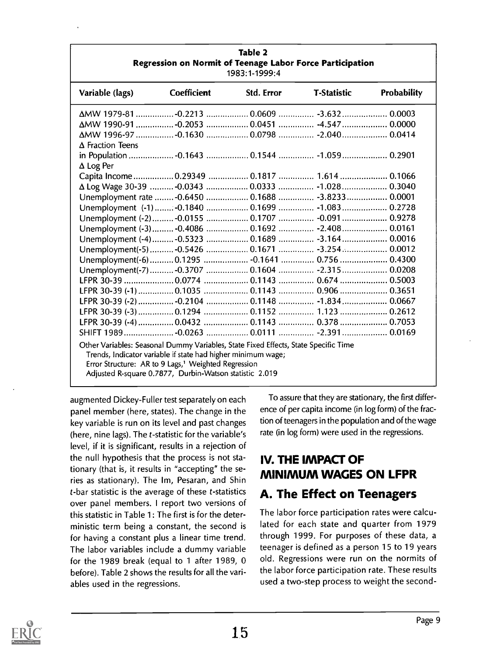| Regression on Normit of Teenage Labor Force Participation<br>1983:1-1999:4          |                                                                                                                                 |            |                    |             |
|-------------------------------------------------------------------------------------|---------------------------------------------------------------------------------------------------------------------------------|------------|--------------------|-------------|
| Variable (lags)                                                                     | <b>Coefficient</b>                                                                                                              | Std. Error | <b>T-Statistic</b> | Probability |
|                                                                                     |                                                                                                                                 |            |                    |             |
| ΔMW 1990-91  -0.2053  0.0451  -4.547  0.0000                                        |                                                                                                                                 |            |                    |             |
| ΔMW 1996-97  -0.1630  0.0798  -2.040  0.0414                                        |                                                                                                                                 |            |                    |             |
| $\Delta$ Fraction Teens<br>in Population  -0.1643  0.1544  -1.059  0.2901           |                                                                                                                                 |            |                    |             |
| $\Delta$ Log Per                                                                    |                                                                                                                                 |            |                    |             |
|                                                                                     |                                                                                                                                 |            |                    |             |
|                                                                                     |                                                                                                                                 |            |                    |             |
| Unemployment rate  -0.6450  0.1688  -3.8233  0.0001                                 |                                                                                                                                 |            |                    |             |
| Unemployment (-1) : -0.1840  0.1699  -1.083  0.2728                                 |                                                                                                                                 |            |                    |             |
|                                                                                     |                                                                                                                                 |            |                    |             |
| Unemployment (-3)  -0.4086  0.1692  -2.408  0.0161                                  |                                                                                                                                 |            |                    |             |
| Unemployment (-4)  -0.5323  0.1689  -3.164  0.0016                                  |                                                                                                                                 |            |                    |             |
| Unemployment(-5) -0.5426  0.1671  -3.254  0.0012                                    |                                                                                                                                 |            |                    |             |
| Unemployment(-6)  0.1295  -0.1641  0.756  0.4300                                    |                                                                                                                                 |            |                    |             |
| Unemployment(-7) -0.3707  0.1604  -2.315  0.0208                                    |                                                                                                                                 |            |                    |             |
|                                                                                     |                                                                                                                                 |            |                    |             |
|                                                                                     |                                                                                                                                 |            |                    |             |
| LFPR 30-39 (-2)  -0.2104  0.1148  -1.834  0.0667                                    |                                                                                                                                 |            |                    |             |
|                                                                                     |                                                                                                                                 |            |                    |             |
| LFPR 30-39 (-4)  0.0432  0.1143  0.378  0.7053                                      |                                                                                                                                 |            |                    |             |
|                                                                                     |                                                                                                                                 |            |                    |             |
| Other Variables: Seasonal Dummy Variables, State Fixed Effects, State Specific Time | Trends, Indicator variable if state had higher minimum wage;<br>Error Structure: AR to 9 Lags, <sup>1</sup> Weighted Regression |            |                    |             |
|                                                                                     | Adjusted R-square 0.7877, Durbin-Watson statistic 2.019                                                                         |            |                    |             |

Table 2

augmented Dickey-Fuller test separately on each panel member (here, states). The change in the key variable is run on its level and past changes (here, nine lags). The t-statistic for the variable's level, if it is significant, results in a rejection of the null hypothesis that the process is not stationary (that is, it results in "accepting" the series as stationary). The Im, Pesaran, and Shin t-bar statistic is the average of these t-statistics over panel members. I report two versions of this statistic in Table 1: The first is for the deterministic term being a constant, the second is for having a constant plus a linear time trend. The labor variables include a dummy variable for the 1989 break (equal to 1 after 1989, 0 before). Table 2 shows the results for all the variables used in the regressions.

To assure that they are stationary, the first difference of per capita income (in log form) of the fraction of teenagers in the population and of the wage rate (in log form) were used in the regressions.

#### IV. THE IMPACT OF MINIMUM WAGES ON LFPR

#### A. The Effect on Teenagers

The labor force participation rates were calculated for each state and quarter from 1979 through 1999. For purposes of these data, a teenager is defined as a person 15 to 19 years old. Regressions were run on the normits of the labor force participation rate. These results used a two-step process to weight the second-

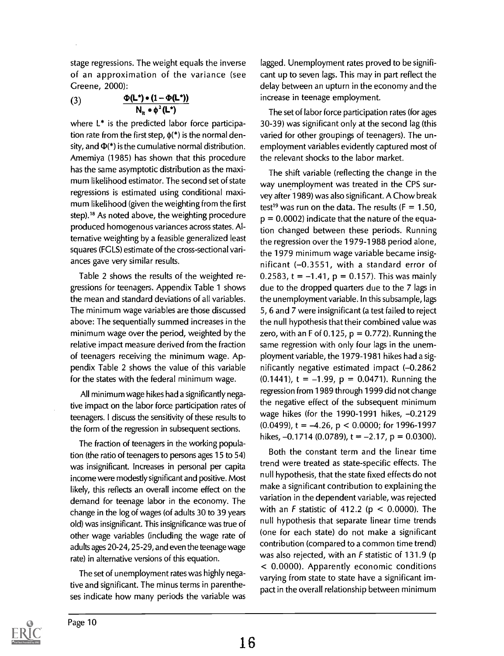stage regressions. The weight equals the inverse of an approximation of the variance (see Greene, 2000):

(3)  $\frac{\Phi(\mathsf{L}^*) \bullet (1 - \Phi(\mathsf{L}^*))}{\Phi(\mathsf{L}^*) \bullet (1 - \Phi(\mathsf{L}^*))}$  $N_{it} \circ \phi^2(L^*)$ 

where  $L^*$  is the predicted labor force participation rate from the first step,  $\phi$ <sup>\*</sup>) is the normal density, and  $\Phi$ <sup>\*</sup>) is the cumulative normal distribution. Amemiya (1985) has shown that this procedure has the same asymptotic distribution as the maximum likelihood estimator. The second set of state regressions is estimated using conditional maximum likelihood (given the weighting from the first step).18 As noted above, the weighting procedure produced homogenous variances across states. Alternative weighting by a feasible generalized least squares (FGLS) estimate of the cross-sectional variances gave very similar results.

Table 2 shows the results of the weighted regressions for teenagers. Appendix Table 1 shows the mean and standard deviations of all variables. The minimum wage variables are those discussed above: The sequentially summed increases in the minimum wage over the period, weighted by the relative impact measure derived from the fraction of teenagers receiving the minimum wage. Appendix Table 2 shows the value of this variable for the states with the federal minimum wage.

All minimum wage hikes had a significantly negative impact on the labor force participation rates of teenagers. I discuss the sensitivity of these results to the form of the regression in subsequent sections.

The fraction of teenagers in the working population (the ratio of teenagers to persons ages 15 to 54) was insignificant. Increases in personal per capita income were modestly significant and positive. Most likely, this reflects an overall income effect on the demand for teenage labor in the economy. The change in the log of wages (of adults 30 to 39 years old) was insignificant. This insignificance was true of other wage variables (including the wage rate of adults ages 20-24, 25-29, and even the teenage wage rate) in alternative versions of this equation.

The set of unemployment rates was highly negative and significant. The minus terms in parentheses indicate how many periods the variable was lagged. Unemployment rates proved to be significant up to seven lags. This may in part reflect the delay between an upturn in the economy and the increase in teenage employment.

The set of labor force participation rates (for ages 30-39) was significant only at the second lag (this varied for other groupings of teenagers). The unemployment variables evidently captured most of the relevant shocks to the labor market.

The shift variable (reflecting the change in the way unemployment was treated in the CPS survey after 1989) was also significant. A Chow break test<sup>19</sup> was run on the data. The results ( $F = 1.50$ ,  $p = 0.0002$ ) indicate that the nature of the equation changed between these periods. Running the regression over the 1979-1988 period alone, the 1979 minimum wage variable became insignificant (-0.3551, with a standard error of 0.2583, t =  $-1.41$ , p = 0.157). This was mainly due to the dropped quarters due to the 7 lags in the unemployment variable. In this subsample, lags 5, 6 and 7 were insignificant (a test failed to reject the null hypothesis that their combined value was zero, with an F of 0.125,  $p = 0.772$ ). Running the same regression with only four lags in the unemployment variable, the 1979-1981 hikes had a significantly negative estimated impact (-0.2862  $(0.1441)$ , t = -1.99, p = 0.0471). Running the regression from 1989 through 1999 did not change the negative effect of the subsequent minimum wage hikes (for the 1990-1991 hikes,  $-0.2129$  $(0.0499)$ , t = -4.26, p < 0.0000; for 1996-1997 hikes,  $-0.1714$  (0.0789), t =  $-2.17$ , p = 0.0300).

Both the constant term and the linear time trend were treated as state-specific effects. The null hypothesis, that the state fixed effects do not make a significant contribution to explaining the variation in the dependent variable, was rejected with an F statistic of 412.2 ( $p < 0.0000$ ). The null hypothesis that separate linear time trends (one for each state) do not make a significant contribution (compared to a common time trend) was also rejected, with an F statistic of 131.9 (p < 0.0000). Apparently economic conditions varying from state to state have a significant impact in the overall relationship between minimum

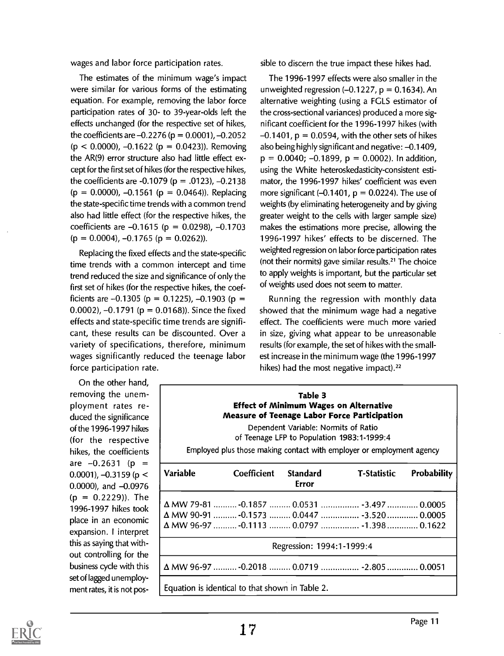wages and labor force participation rates.

The estimates of the minimum wage's impact were similar for various forms of the estimating equation. For example, removing the labor force participation rates of 30- to 39-year-olds left the effects unchanged (for the respective set of hikes, the coefficients are  $-0.2276$  (p = 0.0001),  $-0.2052$  $(p < 0.0000)$ ,  $-0.1622$  ( $p = 0.0423$ )). Removing the AR(9) error structure also had little effect except for the first set of hikes (for the respective hikes, the coefficients are -0.1079 ( $p = .0123$ ), -0.2138  $(p = 0.0000)$ ,  $-0.1561$  ( $p = 0.0464$ )). Replacing the state-specific time trends with a common trend also had little effect (for the respective hikes, the coefficients are  $-0.1615$  (p = 0.0298),  $-0.1703$  $(p = 0.0004)$ ,  $-0.1765$   $(p = 0.0262)$ .

Replacing the fixed effects and the state-specific time trends with a common intercept and time trend reduced the size and significance of only the first set of hikes (for the respective hikes, the coefficients are  $-0.1305$  (p = 0.1225),  $-0.1903$  (p = 0.0002),  $-0.1791$  ( $p = 0.0168$ )). Since the fixed effects and state-specific time trends are significant, these results can be discounted. Over a variety of specifications, therefore, minimum wages significantly reduced the teenage labor force participation rate.

On the other hand, removing the unemployment rates reduced the significance of the 1996-1997 hikes (for the respective hikes, the coefficients are  $-0.2631$  (p = 0.0001),  $-0.3159$  (p <  $0.0000$ , and  $-0.0976$  $(p = 0.2229)$ ). The 1996-1997 hikes took place in an economic expansion. I interpret this as saying that without controlling for the business cycle with this set of lagged unemployment rates, it is not possible to discern the true impact these hikes had.

The 1996-1997 effects were also smaller in the unweighted regression  $(-0.1227, p = 0.1634)$ . An alternative weighting (using a FGLS estimator of the cross-sectional variances) produced a more significant coefficient for the 1996-1997 hikes (with  $-0.1401$ ,  $p = 0.0594$ , with the other sets of hikes also being highly significant and negative:  $-0.1409$ ,  $p = 0.0040; -0.1899, p = 0.0002$ . In addition, using the White heteroskedasticity-consistent estimator, the 1996-1997 hikes' coefficient was even more significant  $(-0.1401, p = 0.0224)$ . The use of weights (by eliminating heterogeneity and by giving greater weight to the cells with larger sample size) makes the estimations more precise, allowing the 1996-1997 hikes' effects to be discerned. The weighted regression on labor force participation rates (not their normits) gave similar results.<sup>21</sup> The choice to apply weights is important, but the particular set of weights used does not seem to matter.

Running the regression with monthly data showed that the minimum wage had a negative effect. The coefficients were much more varied in size, giving what appear to be unreasonable results (for example, the set of hikes with the smallest increase in the minimum wage (the 1996-1997 hikes) had the most negative impact).<sup>22</sup>

|                 |                                                 | Table 3<br><b>Effect of Minimum Wages on Alternative</b><br>Dependent Variable: Normits of Ratio<br>of Teenage LFP to Population 1983:1-1999:4 | Measure of Teenage Labor Force Participation<br>Employed plus those making contact with employer or employment agency                    |                    |
|-----------------|-------------------------------------------------|------------------------------------------------------------------------------------------------------------------------------------------------|------------------------------------------------------------------------------------------------------------------------------------------|--------------------|
| <b>Variable</b> | <b>Coefficient</b>                              | Standard<br>Error                                                                                                                              | <b>T-Statistic</b>                                                                                                                       | <b>Probability</b> |
|                 |                                                 |                                                                                                                                                | ΔMW 79-81  -0.1857  0.0531  -3.497  0.0005<br>Δ MW 90-91  -0.1573  0.0447  -3.520  0.0005<br>Δ MW 96-97  -0.1113  0.0797  -1.398  0.1622 |                    |
|                 |                                                 | Regression: 1994:1-1999:4                                                                                                                      |                                                                                                                                          |                    |
|                 |                                                 |                                                                                                                                                | Δ MW 96-97  -0.2018  0.0719  -2.805  0.0051                                                                                              |                    |
|                 | Equation is identical to that shown in Table 2. |                                                                                                                                                |                                                                                                                                          |                    |

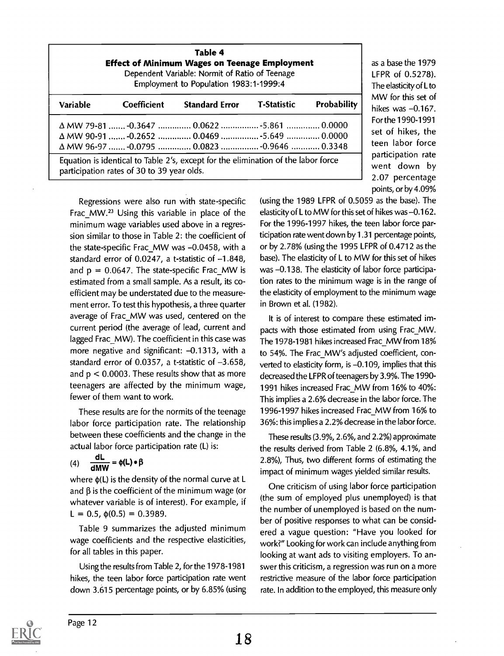| Table 4<br><b>Effect of Minimum Wages on Teenage Employment</b><br>Dependent Variable: Normit of Ratio of Teenage<br>Employment to Population 1983:1-1999:4 |                                            |                                                                                                                                            |             |                    |
|-------------------------------------------------------------------------------------------------------------------------------------------------------------|--------------------------------------------|--------------------------------------------------------------------------------------------------------------------------------------------|-------------|--------------------|
| Variable                                                                                                                                                    | Coefficient                                | <b>Standard Error</b>                                                                                                                      | T-Statistic | <b>Probability</b> |
|                                                                                                                                                             |                                            | Δ MW 79-81  -0.3647  0.0622  -5.861  0.0000<br>Δ MW 90-91  -0.2652  0.0469  -5.649  0.0000<br>Δ MW 96-97  -0.0795  0.0823  -0.9646  0.3348 |             |                    |
|                                                                                                                                                             | participation rates of 30 to 39 year olds. | Equation is identical to Table 2's, except for the elimination of the labor force                                                          |             |                    |

participation rate went down by 2.07 percentage points, or by 4.09% (using the 1989 LFPR of 0.5059 as the base). The elasticity of L to MW for this set of hikes was  $-0.162$ . For the 1996-1997 hikes, the teen labor force participation rate went down by 1.31 percentage points, or by 2.78% (using the 1995 LFPR of 0.4712 as the base). The elasticity of L to MW for this set of hikes was -0.138. The elasticity of labor force participation rates to the minimum wage is in the range of the elasticity of employment to the minimum wage in Brown et al. (1982).

as a base the 1979 LFPR of 0.5278). The elasticity of L to MW for this set of hikes was  $-0.167$ . For the 1990-1991 set of hikes, the teen labor force

It is of interest to compare these estimated impacts with those estimated from using Frac\_MW. The 1978-1981 hikes increased Frac\_MW from 18% to 54%. The Frac MW's adjusted coefficient, converted to elasticity form, is  $-0.109$ , implies that this decreased the LFPR of teenagers by 3.9%. The 1990- 1991 hikes increased Frac\_MW from 16% to 40%: This implies a 2.6% decrease in the labor force. The 1996-1997 hikes increased Frac\_MW from 16% to 36%: this implies a 2.2% decrease in the labor force.

These results (3.9%, 2.6%, and 2.2%) approximate the results derived from Table 2 (6.8%, 4.1%, and 2.8%), Thus, two different forms of estimating the impact of minimum wages yielded similar results.

One criticism of using labor force participation (the sum of employed plus unemployed) is that the number of unemployed is based on the number of positive responses to what can be considered a vague question: "Have you looked for work?" Looking for work can include anything from looking at want ads to visiting employers. To answer this criticism, a regression was run on a more restrictive measure of the labor force participation rate. In addition to the employed, this measure only

Regressions were also run with state-specific Frac MW.<sup>23</sup> Using this variable in place of the minimum wage variables used above in a regression similar to those in Table 2: the coefficient of the state-specific Frac MW was  $-0.0458$ , with a standard error of  $0.0247$ , a t-statistic of  $-1.848$ , and  $p = 0.0647$ . The state-specific Frac\_MW is estimated from a small sample. As a result, its coefficient may be understated due to the measurement error. To test this hypothesis, a three quarter average of Frac\_MW was used, centered on the current period (the average of lead, current and lagged Frac\_MW). The coefficient in this case was more negative and significant:  $-0.1313$ , with a standard error of  $0.0357$ , a t-statistic of  $-3.658$ , and  $p < 0.0003$ . These results show that as more teenagers are affected by the minimum wage, fewer of them want to work.

These results are for the normits of the teenage labor force participation rate. The relationship between these coefficients and the change in the actual labor force participation rate (L) is:

(4) 
$$
\frac{dL}{dMW} = \phi(L) \bullet \beta
$$

where  $\phi(L)$  is the density of the normal curve at L and  $\beta$  is the coefficient of the minimum wage (or whatever variable is of interest). For example, if  $L = 0.5$ ,  $\phi(0.5) = 0.3989$ .

Table 9 summarizes the adjusted minimum wage coefficients and the respective elasticities, for all tables in this paper.

Using the results from Table 2, for the 1978-1981 hikes, the teen labor force participation rate went down 3.615 percentage points, or by 6.85% (using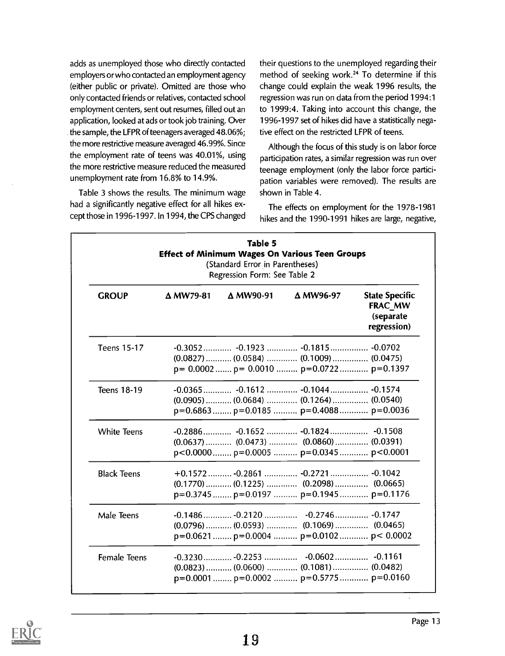adds as unemployed those who directly contacted employers or who contacted an employment agency (either public or private). Omitted are those who only contacted friends or relatives, contacted school employment centers, sent out resumes, filled out an application, looked at ads or took job training. Over the sample, the LFPR of teenagers averaged 48.06%; the more restrictive measure averaged 46.99%. Since the employment rate of teens was 40.01%, using the more restrictive measure reduced the measured unemployment rate from 16.8% to 14.9%.

Table 3 shows the results. The minimum wage had a significantly negative effect for all hikes except those in 1996-1997. In 1994, the CPS changed their questions to the unemployed regarding their method of seeking work.24 To determine if this change could explain the weak 1996 results, the regression was run on data from the period 1994:1 to 1999:4. Taking into account this change, the 1996-1997 set of hikes did have a statistically negative effect on the restricted LFPR of teens.

Although the focus of this study is on labor force participation rates, a similar regression was run over teenage employment (only the labor force participation variables were removed). The results are shown in Table 4.

The effects on employment for the 1978-1981 hikes and the 1990-1991 hikes are large, negative

| <b>Table 5</b><br><b>Effect of Minimum Wages On Various Teen Groups</b><br>(Standard Error in Parentheses)<br>Regression Form: See Table 2 |                  |                     |                                                                                                                                       |                                                              |
|--------------------------------------------------------------------------------------------------------------------------------------------|------------------|---------------------|---------------------------------------------------------------------------------------------------------------------------------------|--------------------------------------------------------------|
| <b>GROUP</b>                                                                                                                               | $\Delta$ MW79-81 | $\triangle$ MW90-91 | Δ MW96-97                                                                                                                             | <b>State Specific</b><br>FRAC MW<br>(separate<br>regression) |
| <b>Teens 15-17</b>                                                                                                                         |                  |                     | $(0.0827)$ $(0.0584)$ $(0.1009)$ $(0.0475)$<br>$p = 0.0002$ $p = 0.0010$ $p = 0.0722$ $p = 0.1397$                                    |                                                              |
| Teens 18-19                                                                                                                                |                  |                     | -0.0365 -0.1612  -0.1044 -0.1574<br>$(0.0905)$ (0.0684)  (0.1264)  (0.0540)<br>$p=0.6863$ $p=0.0185$ $p=0.4088$ $p=0.0036$            |                                                              |
| <b>White Teens</b>                                                                                                                         |                  |                     | $p<0.0000$ $p=0.0005$ $p=0.0345$ $p<0.0001$                                                                                           |                                                              |
| <b>Black Teens</b>                                                                                                                         |                  |                     | $+0.1572$ $-0.2861$ $-0.2721$ $-0.1042$<br>$(0.1770)$ $(0.1225)$ $(0.2098)$ $(0.0665)$<br>$p=0.3745$ $p=0.0197$ $p=0.1945$ $p=0.1176$ |                                                              |
| Male Teens                                                                                                                                 |                  |                     | $(0.0796)$ $(0.0593)$ $(0.1069)$ $(0.0465)$<br>$p=0.0621$ $p=0.0004$ $p=0.0102$ $p< 0.0002$                                           |                                                              |
| <b>Female Teens</b>                                                                                                                        |                  |                     | $(0.0823)$ $(0.0600)$ $(0.1081)$ $(0.0482)$<br>$p=0.0001$ $p=0.0002$ $p=0.5775$ $p=0.0160$                                            |                                                              |

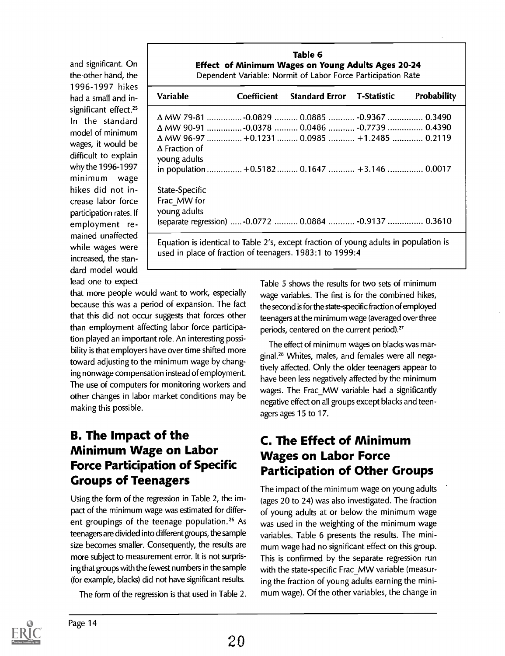and significant. On the.other hand, the 1996-1997 hikes had a small and insignificant effect.<sup>25</sup> In the standard model of minimum wages, it would be difficult to explain why the 1996-1997 minimum wage hikes did not increase labor force participation rates. If employment remained unaffected while wages were increased, the standard model would lead one to expect

| <b>Variable</b>                      | Coefficient Standard Error T-Statistic                  | <b>Probability</b> |
|--------------------------------------|---------------------------------------------------------|--------------------|
|                                      | △ MW 79-81  -0.0829  0.0885  -0.9367  0.3490            |                    |
|                                      | △ MW 90-91  -0.0378  0.0486  -0.7739  0.4390            |                    |
|                                      | ΔMW 96-97 +0.1231  0.0985  +1.2485  0.2119              |                    |
| $\Delta$ Fraction of<br>young adults | in population  +0.5182  0.1647  +3.146  0.0017          |                    |
| State-Specific                       |                                                         |                    |
| Frac MW for                          |                                                         |                    |
| young adults                         |                                                         |                    |
|                                      | (separate regression)  -0.0772  0.0884  -0.9137  0.3610 |                    |

that more people would want to work, especially because this was a period of expansion. The fact that this did not occur suggests that forces other than employment affecting labor force participation played an important role. An interesting possibility is that employers have over time shifted more toward adjusting to the minimum wage by changing nonwage compensation instead of employment. The use of computers for monitoring workers and other changes in labor market conditions may be making this possible.

#### B. The Impact of the Minimum Wage on Labor Force Participation of Specific Groups of Teenagers

Using the form of the regression in Table 2, the impact of the minimum wage was estimated for different groupings of the teenage population.<sup>26</sup> As teenagers are divided into different groups, the sample size becomes smaller. Consequently, the results are more subject to measurement error. It is not surprising that groups with the fewest numbers in the sample (for example, blacks) did not have significant results.

The form of the regression is that used in Table 2.

Table 5 shows the results for two sets of minimum wage variables. The first is for the combined hikes, the second is for the state-specific fraction of employed teenagers at the minimum wage (averaged over three periods, centered on the current period)?'

The effect of minimum wages on blacks was marginal.28 Whites, males, and females were all negatively affected. Only the older teenagers appear to have been less negatively affected by the minimum wages. The Frac\_MW variable had a significantly negative effect on all groups except blacks and teenagers ages 15 to 17.

#### C. The Effect of Minimum Wages on Labor Force Participation of Other Groups

The impact of the minimum wage on young adults (ages 20 to 24) was also investigated. The fraction of young adults at or below the minimum wage was used in the weighting of the minimum wage variables. Table 6 presents the results. The minimum wage had no significant effect on this group. This is confirmed by the separate regression run with the state-specific Frac MW variable (measuring the fraction of young adults earning the minimum wage). Of the other variables, the change in

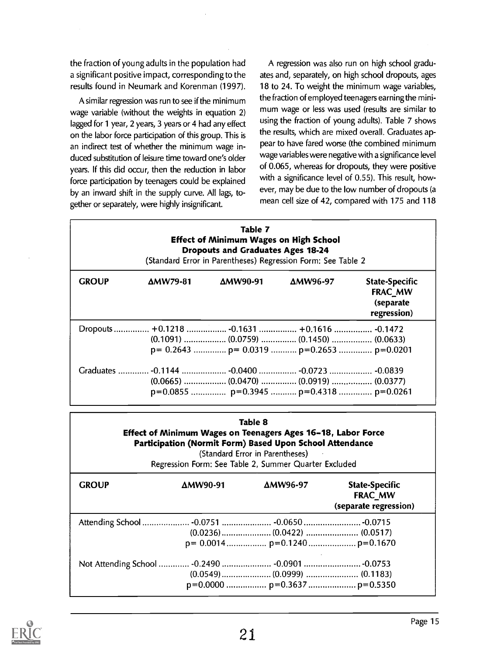the fraction of young adults in the population had a significant positive impact, corresponding to the results found in Neumark and Korenman (1997).

A similar regression was run to see if the minimum wage variable (without the weights in equation 2) lagged for 1 year, 2 years, 3 years or 4 had any effect on the labor force participation of this group. This is an indirect test of whether the minimum wage induced substitution of leisure time toward one's older years. If this did occur, then the reduction in labor force participation by teenagers could be explained by an inward shift in the supply curve. All lags, together or separately, were highly insignificant.

A regression was also run on high school graduates and, separately, on high school dropouts, ages 18 to 24. To weight the minimum wage variables, the fraction of employed teenagers earning the minimum wage or less was used (results are similar to using the fraction of young adults). Table 7 shows the results, which are mixed overall. Graduates appear to have fared worse (the combined minimum wage variables were negative with a significance level of 0.065, whereas for dropouts, they were positive with a significance level of 0.55). This result, however, may be due to the low number of dropouts (a mean cell size of 42, compared with 175 and 118

| Table 7<br><b>Effect of Minimum Wages on High School</b><br><b>Dropouts and Graduates Ages 18-24</b><br>(Standard Error in Parentheses) Regression Form: See Table 2 |                                              |          |                                                     |                                                                     |
|----------------------------------------------------------------------------------------------------------------------------------------------------------------------|----------------------------------------------|----------|-----------------------------------------------------|---------------------------------------------------------------------|
| <b>GROUP</b>                                                                                                                                                         | $\Delta$ MW79-81                             | ΔMW90-91 | ΔMW96-97                                            | <b>State-Specific</b><br><b>FRAC MW</b><br>(separate<br>regression) |
|                                                                                                                                                                      | Dropouts  +0.1218  -0.1631  +0.1616  -0.1472 |          | $p = 0.2643$ $p = 0.0319$ $p = 0.2653$ $p = 0.0201$ |                                                                     |
|                                                                                                                                                                      |                                              |          | $p=0.0855$ $p=0.3945$ $p=0.4318$ $p=0.0261$         |                                                                     |

| Table 8 |  |
|---------|--|
|---------|--|

Effect of Minimum Wages on Teenagers Ages 16-18, Labor Force Participation (Normit Form) Based Upon School Attendance

(Standard Error in Parentheses)

Regression Form: See Table 2, Summer Quarter Excluded

| <b>GROUP</b>                                    | $\Delta$ MW90-91 | ΔMW96-97 | <b>State-Specific</b><br><b>FRAC_MW</b><br>(separate regression) |
|-------------------------------------------------|------------------|----------|------------------------------------------------------------------|
| Attending School  -0.0751  -0.0650  -0.0715     |                  |          |                                                                  |
|                                                 |                  |          |                                                                  |
|                                                 |                  |          |                                                                  |
| Not Attending School  -0.2490  -0.0901  -0.0753 |                  |          |                                                                  |
|                                                 |                  |          |                                                                  |
|                                                 |                  |          |                                                                  |

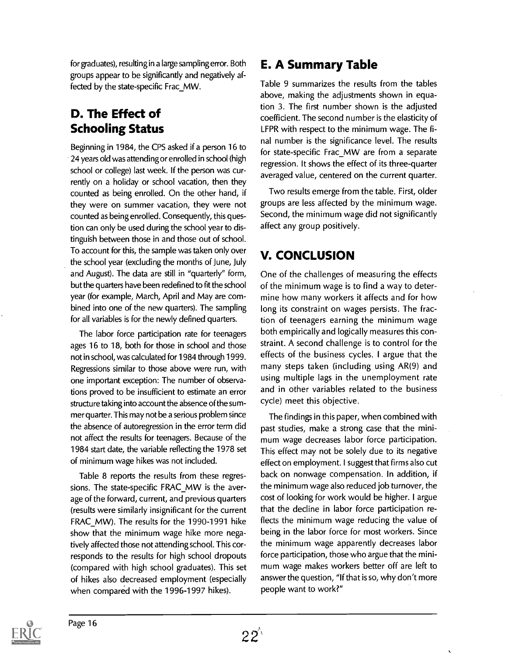for graduates), resulting in a large sampling error. Both groups appear to be significantly and negatively affected by the state-specific Frac\_MW.

#### D. The Effect of Schooling Status

Beginning in 1984, the CPS asked if a person 16 to 24 years old was attending or enrolled in school (high school or college) last week. If the person was currently on a holiday or school vacation, then they counted as being enrolled. On the other hand, if they were on summer vacation, they were not counted as being enrolled. Consequently, this question can only be used during the school year to distinguish between those in and those out of school. To account for this, the sample was taken only over the school year (excluding the months of June, July and August). The data are still in "quarterly" form, but the quarters have been redefined to fit the school year (for example, March, April and May are combined into one of the new quarters). The sampling for all variables is for the newly defined quarters.

The labor force participation rate for teenagers ages 16 to 18, both for those in school and those not in school, was calculated for 1984 through 1999. Regressions similar to those above were run, with one important exception: The number of observations proved to be insufficient to estimate an error structure taking into account the absence of the summer quarter. This may not be a serious problem since the absence of autoregression in the error term did not affect the results for teenagers. Because of the 1984 start date, the variable reflecting the 1978 set of minimum wage hikes was not included.

Table 8 reports the results from these regressions. The state-specific FRAC\_MW is the average of the forward, current, and previous quarters (results were similarly insignificant for the current FRAC\_MW). The results for the 1990-1991 hike show that the minimum wage hike more negatively affected those not attending school. This corresponds to the results for high school dropouts (compared with high school graduates). This set of hikes also decreased employment (especially when compared with the 1996-1997 hikes).

#### E. A Summary Table

Table 9 summarizes the results from the tables above, making the adjustments shown in equation 3. The first number shown is the adjusted coefficient. The second number is the elasticity of LFPR with respect to the minimum wage. The final number is the significance level. The results for state-specific Frac\_MW are from a separate regression. It shows the effect of its three-quarter averaged value, centered on the current quarter.

Two results emerge from the table. First, older groups are less affected by the minimum wage. Second, the minimum wage did not significantly affect any group positively.

#### V. CONCLUSION

One of the challenges of measuring the effects of the minimum wage is to find a way to determine how many workers it affects and for how long its constraint on wages persists. The fraction of teenagers earning the minimum wage both empirically and logically measures this constraint. A second challenge is to control for the effects of the business cycles. I argue that the many steps taken (including using AR(9) and using multiple lags in the unemployment rate and in other variables related to the business cycle) meet this objective.

The findings in this paper, when combined with past studies, make a strong case that the minimum wage decreases labor force participation. This effect may not be solely due to its negative effect on employment. I suggest that firms also cut back on nonwage compensation. In addition, if the minimum wage also reduced job turnover, the cost of looking for work would be higher. I argue that the decline in labor force participation reflects the minimum wage reducing the value of being in the labor force for most workers. Since the minimum wage apparently decreases labor force participation, those who argue that the minimum wage makes workers better off are left to answer the question, "If that is so, why don't more people want to work?"

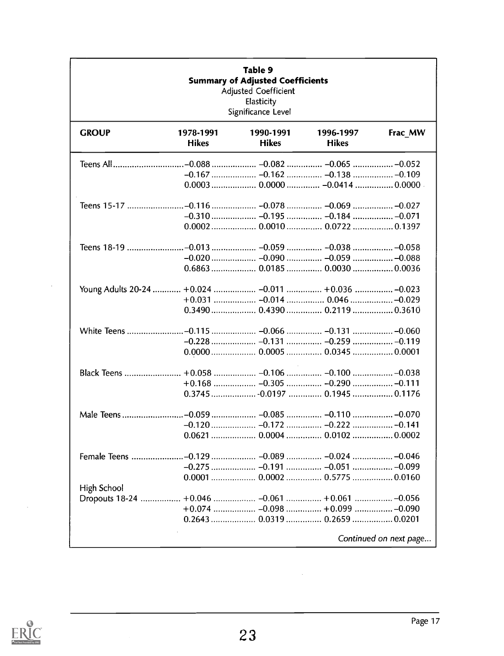| <b>Table 9</b><br><b>Summary of Adjusted Coefficients</b><br><b>Adjusted Coefficient</b><br>Elasticity<br>Significance Level |                           |                                |                           |                        |
|------------------------------------------------------------------------------------------------------------------------------|---------------------------|--------------------------------|---------------------------|------------------------|
| <b>GROUP</b>                                                                                                                 | 1978-1991<br><b>Hikes</b> | 1990-1991<br><b>Hikes</b>      | 1996-1997<br><b>Hikes</b> | Frac_MW                |
|                                                                                                                              |                           |                                |                           |                        |
|                                                                                                                              |                           |                                |                           |                        |
|                                                                                                                              |                           |                                |                           |                        |
|                                                                                                                              |                           |                                |                           |                        |
|                                                                                                                              |                           |                                |                           |                        |
|                                                                                                                              |                           |                                |                           |                        |
| Teens 18-19                                                                                                                  |                           | –0.013  –0.059  –0.038  –0.058 |                           |                        |
|                                                                                                                              |                           |                                |                           |                        |
|                                                                                                                              |                           |                                |                           |                        |
|                                                                                                                              |                           |                                |                           |                        |
|                                                                                                                              |                           |                                |                           |                        |
|                                                                                                                              |                           |                                |                           |                        |
|                                                                                                                              |                           |                                |                           |                        |
|                                                                                                                              |                           |                                |                           |                        |
|                                                                                                                              |                           |                                |                           |                        |
| Black Teens                                                                                                                  |                           |                                |                           |                        |
|                                                                                                                              |                           |                                |                           |                        |
|                                                                                                                              |                           |                                |                           |                        |
|                                                                                                                              |                           |                                |                           |                        |
|                                                                                                                              |                           |                                |                           |                        |
|                                                                                                                              |                           |                                |                           |                        |
|                                                                                                                              |                           |                                |                           |                        |
|                                                                                                                              |                           |                                |                           |                        |
| High School                                                                                                                  |                           |                                |                           |                        |
| Dropouts 18-24  +0.046  -0.061  +0.061  -0.056                                                                               |                           |                                |                           |                        |
|                                                                                                                              |                           |                                |                           |                        |
|                                                                                                                              |                           | 0.2643  0.0319  0.2659  0.0201 |                           |                        |
|                                                                                                                              |                           |                                |                           | Continued on next page |



 $\bar{z}$ 

 $\ddot{\phantom{a}}$ 

 $\bar{z}$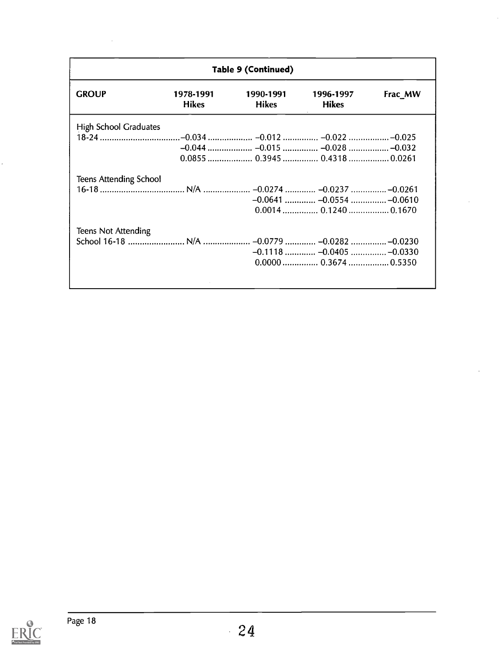| Table 9 (Continued)           |                           |                                |                           |         |
|-------------------------------|---------------------------|--------------------------------|---------------------------|---------|
| <b>GROUP</b>                  | 1978-1991<br><b>Hikes</b> | 1990-1991<br><b>Hikes</b>      | 1996-1997<br><b>Hikes</b> | Frac_MW |
| High School Graduates         |                           |                                |                           |         |
|                               |                           |                                |                           |         |
|                               |                           |                                |                           |         |
|                               |                           | 0.0855  0.3945  0.4318  0.0261 |                           |         |
| <b>Teens Attending School</b> |                           |                                |                           |         |
|                               |                           |                                |                           |         |
|                               |                           |                                |                           |         |
|                               |                           |                                |                           |         |
| <b>Teens Not Attending</b>    |                           |                                |                           |         |
|                               |                           |                                |                           |         |
|                               |                           |                                |                           |         |
|                               |                           |                                |                           |         |
|                               |                           |                                |                           |         |
|                               |                           |                                |                           |         |

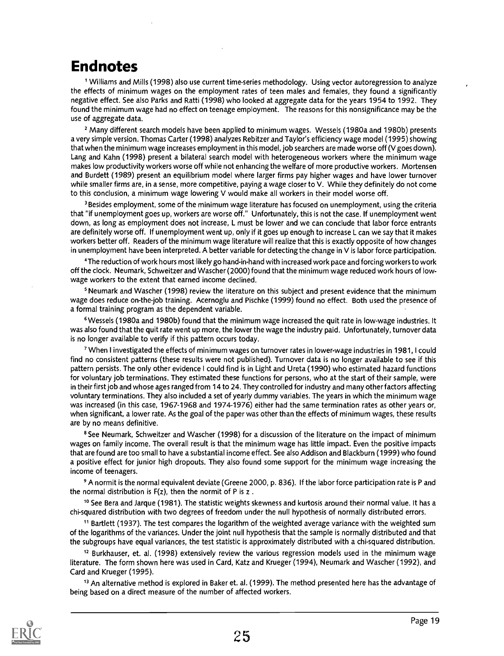### Endnotes

' Williams and Mills (1998) also use current time-series methodology. Using vector autoregression to analyze the effects of minimum wages on the employment rates of teen males and females, they found a significantly negative effect. See also Parks and Ratti (1998) who looked at aggregate data for the years 1954 to 1992. They found the minimum wage had no effect on teenage employment. The reasons for this nonsignificance may be the use of aggregate data.

2 Many different search models have been applied to minimum wages. Wessels (1980a and 1980b) presents a very simple version. Thomas Carter (1998) analyzes Rebitzer and Taylor's efficiency wage model (1995) showing that when the minimum wage increases employment in this model, job searchers are made worse off (V goes down). Lang and Kahn (1998) present a bilateral search model with heterogeneous workers where the minimum wage makes low productivity workers worse off while not enhancing the welfare of more productive workers. Mortensen and Burdett (1989) present an equilibrium model where larger firms pay higher wages and have lower turnover while smaller firms are, in a sense, more competitive, paying a wage closer to V. While they definitely do not come to this conclusion, a minimum wage lowering V would make all workers in their model worse off.

<sup>3</sup> Besides employment, some of the minimum wage literature has focused on unemployment, using the criteria that "if unemployment goes up, workers are worse off." Unfortunately, this is not the case. If unemployment went down, as long as employment does not increase, L must be lower and we can conclude that labor force entrants are definitely worse off. If unemployment went up, only if it goes up enough to increase L can we say that it makes workers better off. Readers of the minimum wage literature will realize that this is exactly opposite of how changes in unemployment have been interpreted. A better variable for detecting the change in V is labor force participation.

4The reduction of work hours most likely go hand-in-hand with increased work pace and forcing workers to work off the clock. Neumark, Schweitzer and Wascher (2000) found that the minimum wage reduced work hours of lowwage workers to the extent that earned income declined.

<sup>5</sup> Neumark and Wascher (1998) review the literature on this subject and present evidence that the minimum wage does reduce on-the-job training. Acernoglu and Pischke (1999) found no effect. Both used the presence of a formal training program as the dependent variable.

<sup>6</sup> Wessels (1980a and 1980b) found that the minimum wage increased the quit rate in low-wage industries. It was also found that the quit rate went up more, the lower the wage the industry paid. Unfortunately, turnover data is no longer available to verify if this pattern occurs today.

'When I investigated the effects of minimum wages on turnover rates in lower-wage industries in 1981, I could find no consistent patterns (these results were not published). Turnover data is no longer available to see if this pattern persists. The only other evidence I could find is in Light and Ureta (1990) who estimated hazard functions for voluntary job terminations. They estimated these functions for persons, who at the start of their sample, were in their first job and whose ages ranged from 14 to 24. They controlled for industry and many other factors affecting voluntary terminations. They also included a set of yearly dummy variables. The years in which the minimum wage was increased (in this case, 1967-1968 and 1974-1976) either had the same termination rates as other years or, when significant, a lower rate. As the goal of the paper was other than the effects of minimum wages, these results are by no means definitive.

<sup>8</sup> See Neumark, Schweitzer and Wascher (1998) for a discussion of the literature on the impact of minimum wages on family income. The overall result is that the minimum wage has little impact. Even the positive impacts that are found are too small to have a substantial income effect. See also Addison and Blackburn (1999) who found a positive effect for junior high dropouts. They also found some support for the minimum wage increasing the income of teenagers.

9 A normit is the normal equivalent deviate (Greene 2000, p. 836). If the labor force participation rate is P and the normal distribution is  $F(z)$ , then the normit of P is z.

10 See Bera and Jarque (1981). The statistic weights skewness and kurtosis around their normal value. It has a chi-squared distribution with two degrees of freedom under the null hypothesis of normally distributed errors.

11 Bartlett (1937). The test compares the logarithm of the weighted average variance with the weighted sum of the logarithms of the variances. Under the joint null hypothesis that the sample is normally distributed and that the subgroups have equal variances, the test statistic is approximately distributed with a chi-squared distribution.

12 Burkhauser, et. al. (1998) extensively review the various regression models used in the minimum wage literature. The form shown here was used in Card, Katz and Krueger (1994), Neumark and Wascher (1992), and Card and Krueger (1995).

<sup>13</sup> An alternative method is explored in Baker et. al. (1999). The method presented here has the advantage of being based on a direct measure of the number of affected workers.

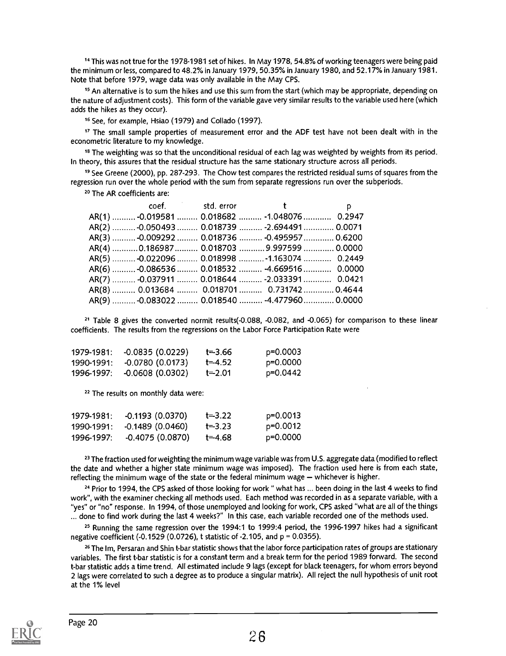14 This was not true for the 1978-1981 set of hikes. In May 1978, 54.8% of working teenagers were being paid the minimum or less, compared to 48.2% in January 1979, 50.35% in January 1980, and 52.17% in January 1981. Note that before 1979, wage data was only available in the May CPS.

<sup>15</sup> An alternative is to sum the hikes and use this sum from the start (which may be appropriate, depending on the nature of adjustment costs). This form of the variable gave very similar results to the variable used here (which adds the hikes as they occur).

<sup>16</sup> See, for example, Hsiao (1979) and Collado (1997).

<sup>17</sup> The small sample properties of measurement error and the ADF test have not been dealt with in the econometric literature to my knowledge.

<sup>18</sup> The weighting was so that the unconditional residual of each lag was weighted by weights from its period. In theory, this assures that the residual structure has the same stationary structure across all periods.

19 See Greene (2000), pp. 287-293. The Chow test compares the restricted residual sums of squares from the regression run over the whole period with the sum from separate regressions run over the subperiods.

20 The AR coefficients are:

|  | coef. Std. error the state of the state of the state of the state of the state of the state of the state of th | D |  |
|--|----------------------------------------------------------------------------------------------------------------|---|--|
|  | AR(1)  -0.019581  0.018682  -1.048076  0.2947                                                                  |   |  |
|  | AR(2)  -0.050493  0.018739  -2.694491  0.0071                                                                  |   |  |
|  | AR(3)  -0.009292  0.018736  -0.495957  0.6200                                                                  |   |  |
|  | AR(4) 0.186987  0.018703  9.997599  0.0000                                                                     |   |  |
|  | AR(5)  -0.022096  0.018998  -1.163074  0.2449                                                                  |   |  |
|  | AR(6)  -0.086536  0.018532  -4.669516  0.0000                                                                  |   |  |
|  | AR(7)  -0.037911  0.018644  -2.033391  0.0421                                                                  |   |  |
|  | AR(8)  0.013684  0.018701  0.731742  0.4644                                                                    |   |  |
|  | AR(9)  -0.083022  0.018540  -4.477960  0.0000                                                                  |   |  |

21 Table 8 gives the converted normit results(-0.088, -0.082, and -0.065) for comparison to these linear coefficients. The results from the regressions on the Labor Force Participation Rate were

| 1979-1981: | -0.0835 (0.0229) | t≕3.66     | p=0.0003 |  |
|------------|------------------|------------|----------|--|
| 1990-1991: | -0.0780 (0.0173) | $t = 4.52$ | p=0.0000 |  |
| 1996-1997: | -0.0608 (0.0302) | t=2.01     | p=0.0442 |  |

22 The results on monthly data were:

| 1979-1981: | -0.1193 (0.0370)            | $t = 3.22$ | p=0.0013 |  |
|------------|-----------------------------|------------|----------|--|
| 1990-1991: | -0.1489 (0.0460)            | $t = 3.23$ | p=0.0012 |  |
|            | 1996-1997: -0.4075 (0.0870) | t=4.68     | p=0.0000 |  |

<sup>23</sup> The fraction used for weighting the minimum wage variable was from U.S. aggregate data (modified to reflect the date and whether a higher state minimum wage was imposed). The fraction used here is from each state, reflecting the minimum wage of the state or the federal minimum wage  $-$  whichever is higher.

<sup>24</sup> Prior to 1994, the CPS asked of those looking for work " what has ... been doing in the last 4 weeks to find work", with the examiner checking all methods used. Each method was recorded in as a separate variable, with a "yes" or "no" response. In 1994, of those unemployed and looking for work, CPS asked "what are all of the things ... done to find work during the last 4 weeks?" In this case, each variable recorded one of the methods used.

25 Running the same regression over the 1994:1 to 1999:4 period, the 1996-1997 hikes had a significant negative coefficient (-0.1529 (0.0726), t statistic of -2.105, and  $p = 0.0355$ ).

<sup>26</sup> The Im, Persaran and Shin t-bar statistic shows that the labor force participation rates of groups are stationary variables. The first t-bar statistic is for a constant term and a break term for the period 1989 forward. The second t-bar statistic adds a time trend. All estimated include 9 lags (except for black teenagers, for whom errors beyond 2 lags were correlated to such a degree as to produce a singular matrix). All reject the null hypothesis of unit root at the 1% level

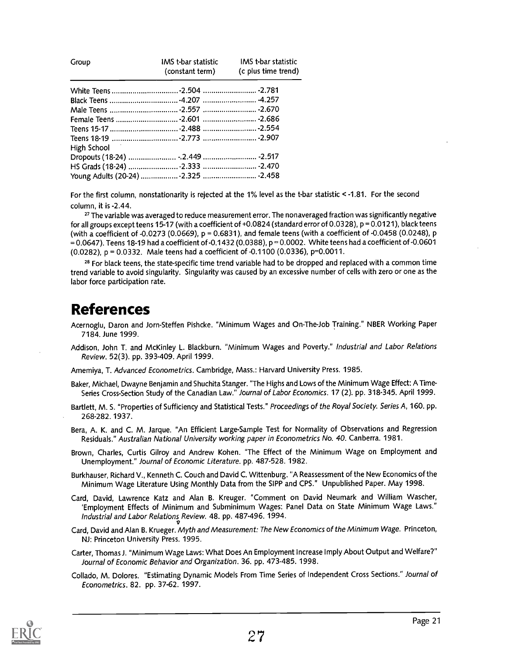| Group       | IMS t-bar statistic | IMS t-bar statistic<br>(constant term) (c plus time trend) |
|-------------|---------------------|------------------------------------------------------------|
|             |                     |                                                            |
|             |                     |                                                            |
|             |                     |                                                            |
|             |                     |                                                            |
|             |                     |                                                            |
| High School |                     |                                                            |
|             |                     |                                                            |
|             |                     |                                                            |
|             |                     |                                                            |

For the first column, nonstationarity is rejected at the 1% level as the t-bar statistic < -1.81. For the second column, it is -2.44.

<sup>27</sup> The variable was averaged to reduce measurement error. The nonaveraged fraction was significantly negative for all groups except teens 15-17 (with a coefficient of +0.0824 (standard error of 0.0328), p = 0.0121), black teens (with a coefficient of  $-0.0273$  (0.0669),  $p = 0.6831$ ), and female teens (with a coefficient of  $-0.0458$  (0.0248),  $p$  $= 0.0647$ ). Teens 18-19 had a coefficient of -0.1432 (0.0388), p  $= 0.0002$ . White teens had a coefficient of -0.0601 (0.0282), p = 0.0332. Male teens had a coefficient of -0.1100 (0.0336), p=0.0011.

<sup>28</sup> For black teens, the state-specific time trend variable had to be dropped and replaced with a common time trend variable to avoid singularity. Singularity was caused by an excessive number of cells with zero or one as the labor force participation rate.

#### References

- Acernoglu, Daron and Jorn-Steffen Pishcke. "Minimum Wages and On-The-Job Training." NBER Working Paper 7184. June 1999.
- Addison, John T. and McKinley L. Blackburn. "Minimum Wages and Poverty." Industrial and Labor Relations Review. 52(3). pp. 393-409. April 1999.

Amemiya, T. Advanced Econometrics. Cambridge, Mass.: Harvard University Press. 1985.

- Baker, Michael, Dwayne Benjamin and Shuchita Stanger. "The Highs and Lows of the Minimum Wage Effect: A Time-Series Cross-Section Study of the Canadian Law." Journal of Labor Economics. 17 (2). pp. 318-345. April 1999.
- Bartlett, M. S. "Properties of Sufficiency and Statistical Tests." Proceedings of the Royal Society. Series A, 160. pp. 268-282. 1937.

Bera, A. K. and C. M. Jarque. "An Efficient Large-Sample Test for Normality of Observations and Regression Residuals." Australian National University working paper in Econometrics No. 40. Canberra. 1981.

- Brown, Charles, Curtis Gilroy and Andrew Kohen. "The Effect of the Minimum Wage on Employment and Unemployment." Journal of Economic Literature. pp. 487-528. 1982.
- Burkhauser, Richard V., Kenneth C. Couch and David C. Wittenburg. "A Reassessment of the New Economics of the Minimum Wage Literature Using Monthly Data from the SIPP and CPS." Unpublished Paper. May 1998.
- Card, David, Lawrence Katz and Alan B. Kreuger. "Comment on David Neumark and William Wascher, 'Employment Effects of Minimum and Subminimum Wages: Panel Data on State Minimum Wage Laws." Industrial and Labor Relations Review. 48. pp. 487-496. 1994.
- Card, David and Alan B. Krueger. Myth and Measurement: The New Economics of the Minimum Wage. Princeton, NJ: Princeton University Press. 1995.
- Carter, Thomas J. "Minimum Wage Laws: What Does An Employment Increase Imply About Output and Welfare?" Journal of Economic Behavior and Organization. 36. pp. 473-485. 1998.
- Collado, M. Dolores. "Estimating Dynamic Models From Time Series of Independent Cross Sections." Journal of Econometrics. 82. pp. 37-62. 1997.

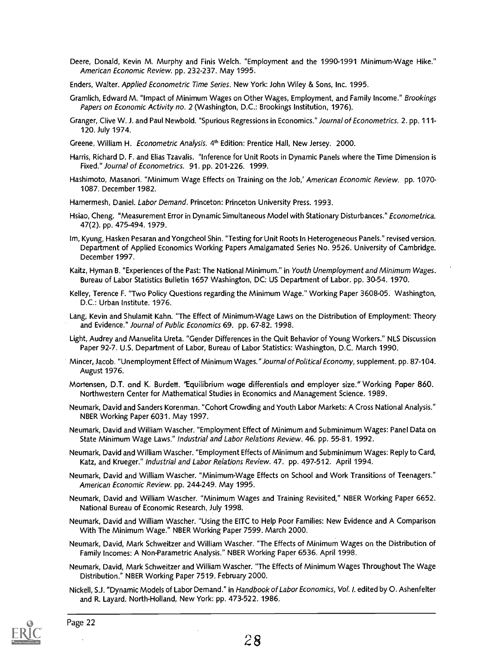- Deere, Donald, Kevin M. Murphy and Finis Welch. "Employment and the 1990-1991 Minimum-Wage Hike." American Economic Review. pp. 232-237. May 1995.
- Enders, Walter. Applied Econometric Time Series. New York: John Wiley & Sons, Inc. 1995.
- Gramlich, Edward M. "Impact of Minimum Wages on Other Wages, Employment, and Family Income." Brookings Papers on Economic Activity no. 2 (Washington, D.C.: Brookings Institution, 1976).
- Granger, Clive W. J. and Paul Newbold. "Spurious Regressions in Economics." Journal of Econometrics. 2. pp. 111- 120. July 1974.
- Greene, William H. Econometric Analysis. 4<sup>th</sup> Edition: Prentice Hall, New Jersey. 2000.
- Harris, Richard D. F. and Elias Tzavalis. "Inference for Unit Roots in Dynamic Panels where the Time Dimension is Fixed." Journal of Econometrics. 91. pp. 201-226. 1999.
- Hashimoto, Masanori. "Minimum Wage Effects on Training on the Job,' American Economic Review. pp. 1070- 1087. December 1982.
- Hamermesh, Daniel. Labor Demand. Princeton: Princeton University Press. 1993.
- Hsiao, Cheng. "Measurement Error in Dynamic Simultaneous Model with Stationary Disturbances." Econometrica. 47(2). pp. 475-494. 1979.
- Im, Kyung, Hasken Pesaran and Yongcheol Shin. "Testing for Unit Roots In Heterogeneous Panels." revised version. Department of Applied Economics Working Papers Amalgamated Series No. 9526. University of Cambridge. December 1997.
- Kaitz, Hyman B. "Experiences of the Past: The National Minimum." in Youth Unemployment and Minimum Wages. Bureau of Labor Statistics Bulletin 1657 Washington, DC: US Department of Labor. pp. 30-54. 1970.
- Kelley, Terence F. "Two Policy Questions regarding the Minimum Wage." Working Paper 3608-05. Washington, D.C.: Urban Institute. 1976.
- Lang, Kevin and Shulamit Kahn. "The Effect of Minimum-Wage Laws on the Distribution of Employment: Theory and Evidence." Journal of Public Economics 69. pp. 67-82. 1998.
- Light, Audrey and Manuelita Ureta. "Gender Differences in the Quit Behavior of Young Workers." NLS Discussion Paper 92-7. U.S. Department of Labor, Bureau of Labor Statistics: Washington, D.C. March 1990.
- Mincer, Jacob. "Unemployment Effect of Minimum Wages. "Journal of Political Economy, supplement. pp. 87-104. August 1976.
- Mortensen, D.T. and K. Burdett. 'Equilibrium wage differentials and employer size." Working Paper 860. Northwestern Center for Mathematical Studies in Economics and Management Science. 1989.
- Neumark, David and Sanders Korenman. "Cohort Crowding and Youth Labor Markets: A Cross National Analysis." NBER Working Paper 6031. May 1997.
- Neumark, David and William Wascher. "Employment Effect of Minimum and Subminimum Wages: Panel Data on State Minimum Wage Laws." Industrial and Labor Relations Review. 46. pp. 55-81. 1992.
- Neumark, David and William Wascher. "Employment Effects of Minimum and Subminimum Wages: Reply to Card, Katz, and Krueger." Industrial and Labor Relations Review. 47. pp. 497-512. April 1994.
- Neumark, David and William Wascher. "Minimum-Wage Effects on School and Work Transitions of Teenagers." American Economic Review. pp. 244-249. May 1995.
- Neumark, David and William Wascher. "Minimum Wages and Training Revisited," NBER Working Paper 6652. National Bureau of Economic Research, July 1998.
- Neumark, David and William Wascher. "Using the EITC to Help Poor Families: New Evidence and A Comparison With The Minimum Wage." NBER Working Paper 7599. March 2000.
- Neumark, David, Mark Schweitzer and William Wascher. The Effects of Minimum Wages on the Distribution of Family Incomes: A Non-Parametric Analysis." NBER Working Paper 6536. April 1998.
- Neumark, David, Mark Schweitzer and William Wascher. "The Effects of Minimum Wages Throughout The Wage Distribution." NBER Working Paper 7519. February 2000.
- Nickell, S.J. "Dynamic Models of Labor Demand." in Handbook of Labor Economics, Vol. I. edited by 0. Ashenfelter and R. Layard. North-Holland, New York: pp. 473-522. 1986.

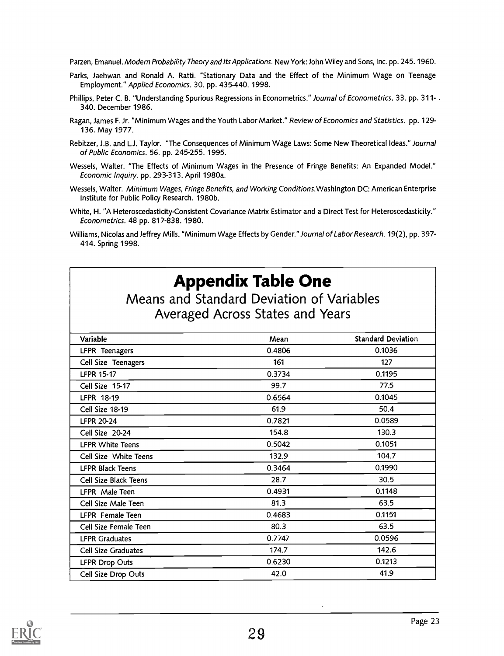Parzen, Emanuel. Modern Probability Theory and Its Applications. New York: John Wiley and Sons, Inc. pp. 245. 1960.

- Parks, Jaehwan and Ronald A. Ratti. "Stationary Data and the Effect of the Minimum Wage on Teenage Employment." Applied Economics. 30. pp. 435-440. 1998.
- Phillips, Peter C. B. "Understanding Spurious Regressions in Econometrics." Journal of Econometrics. 33. pp. 311-. 340. December 1986.
- Ragan, James F. Jr. "Minimum Wages and the Youth Labor Market." Review of Economics and Statistics. pp. 129- 136. May 1977.
- Rebitzer, J.B. and L.J. Taylor. "The Consequences of Minimum Wage Laws: Some New Theoretical Ideas." Journal of Public Economics. 56. pp. 245-255. 1995.
- Wessels, Walter. "The Effects of Minimum Wages in the Presence of Fringe Benefits: An Expanded Model." Economic Inquiry. pp. 293-313. April 1980a.
- Wessels, Walter. Minimum Wages, Fringe Benefits, and Working Conditions.Washington DC: American Enterprise Institute for Public Policy Research. 1980b.
- White, H. "A Heteroscedasticity-Consistent Covariance Matrix Estimator and a Direct Test for Heteroscedasticity." Econometrics. 48 pp. 817-838. 1980.
- Williams, Nicolas and Jeffrey Mills. "Minimum Wage Effects by Gender." Journal of Labor Research. 19(2), pp. 397- 414. Spring 1998.

### Appendix Table One

Means and Standard Deviation of Variables Averaged Across States and Years

| Variable                | Mean   | <b>Standard Deviation</b> |
|-------------------------|--------|---------------------------|
| LFPR Teenagers          | 0.4806 | 0.1036                    |
| Cell Size Teenagers     | 161    | 127                       |
| <b>LFPR 15-17</b>       | 0.3734 | 0.1195                    |
| Cell Size 15-17         | 99.7   | 77.5                      |
| LFPR 18-19              | 0.6564 | 0.1045                    |
| Cell Size 18-19         | 61.9   | 50.4                      |
| <b>LFPR 20-24</b>       | 0.7821 | 0.0589                    |
| Cell Size 20-24         | 154.8  | 130.3                     |
| <b>LFPR White Teens</b> | 0.5042 | 0.1051                    |
| Cell Size White Teens   | 132.9  | 104.7                     |
| <b>LFPR Black Teens</b> | 0.3464 | 0.1990                    |
| Cell Size Black Teens   | 28.7   | 30.5                      |
| LFPR Male Teen          | 0.4931 | 0.1148                    |
| Cell Size Male Teen     | 81.3   | 63.5                      |
| LFPR Female Teen        | 0.4683 | 0.1151                    |
| Cell Size Female Teen   | 80.3   | 63.5                      |
| <b>LFPR Graduates</b>   | 0.7747 | 0.0596                    |
| Cell Size Graduates     | 174.7  | 142.6                     |
| <b>LFPR Drop Outs</b>   | 0.6230 | 0.1213                    |
| Cell Size Drop Outs     | 42.0   | 41.9                      |

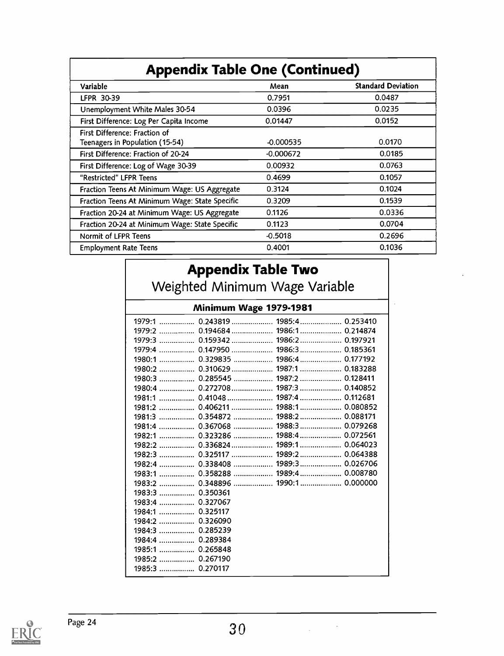### Appendix Table One (Continued)

| Variable                                       | Mean        | <b>Standard Deviation</b> |
|------------------------------------------------|-------------|---------------------------|
| LFPR 30-39                                     | 0.7951      | 0.0487                    |
| Unemployment White Males 30-54                 | 0.0396      | 0.0235                    |
| First Difference: Log Per Capita Income        | 0.01447     | 0.0152                    |
| First Difference: Fraction of                  |             |                           |
| Teenagers in Population (15-54)                | $-0.000535$ | 0.0170                    |
| First Difference: Fraction of 20-24            | $-0.000672$ | 0.0185                    |
| First Difference: Log of Wage 30-39            | 0.00932     | 0.0763                    |
| "Restricted" LFPR Teens                        | 0.4699      | 0.1057                    |
| Fraction Teens At Minimum Wage: US Aggregate   | 0.3124      | 0.1024                    |
| Fraction Teens At Minimum Wage: State Specific | 0.3209      | 0.1539                    |
| Fraction 20-24 at Minimum Wage: US Aggregate   | 0.1126      | 0.0336                    |
| Fraction 20-24 at Minimum Wage: State Specific | 0.1123      | 0.0704                    |
| Normit of LFPR Teens                           | $-0.5018$   | 0.2696                    |
| <b>Employment Rate Teens</b>                   | 0.4001      | 0.1036                    |
|                                                |             |                           |

| <b>Appendix Table Two</b>                                                                                                                                                                                                                                                                                                                                                                                                                                                                                                                                                                                                                                                                                   |  |  |  |
|-------------------------------------------------------------------------------------------------------------------------------------------------------------------------------------------------------------------------------------------------------------------------------------------------------------------------------------------------------------------------------------------------------------------------------------------------------------------------------------------------------------------------------------------------------------------------------------------------------------------------------------------------------------------------------------------------------------|--|--|--|
| Weighted Minimum Wage Variable                                                                                                                                                                                                                                                                                                                                                                                                                                                                                                                                                                                                                                                                              |  |  |  |
| Minimum Wage 1979-1981                                                                                                                                                                                                                                                                                                                                                                                                                                                                                                                                                                                                                                                                                      |  |  |  |
| 1979:1  0.243819  1985:4  0.253410<br>1979:2  0.194684  1986:1  0.214874<br>1979:4  0.147950  1986:3  0.185361<br>1980:1  0.329835  1986:4  0.177192<br>1980:2  0.310629  1987:1  0.183288<br>1980:3  0.285545  1987:2  0.128411<br>1980:4  0.272708  1987:3  0.140852<br>1981:1  0.41048  1987:4  0.112681<br>1981:2  0.406211  1988:1  0.080852<br>1981:3  0.354872  1988:2  0.088171<br>1981:4  0.367068  1988:3  0.079268<br>1982:1  0.323286  1988:4  0.072561<br>1982:2  0.336824  1989:1  0.064023<br>1982:3  0.325117  1989:2  0.064388<br>1983:1  0.358288  1989:4  0.008780<br>1983:2  0.348896  1990:1  0.000000<br>1983:3  0.350361<br>1983:4  0.327067<br>1984:1  0.325117<br>1984:2  0.326090 |  |  |  |
| 1985:1  0.265848<br>1985:2  0.267190                                                                                                                                                                                                                                                                                                                                                                                                                                                                                                                                                                                                                                                                        |  |  |  |
| 1985:3  0.270117                                                                                                                                                                                                                                                                                                                                                                                                                                                                                                                                                                                                                                                                                            |  |  |  |



Page 24  $\sim$  30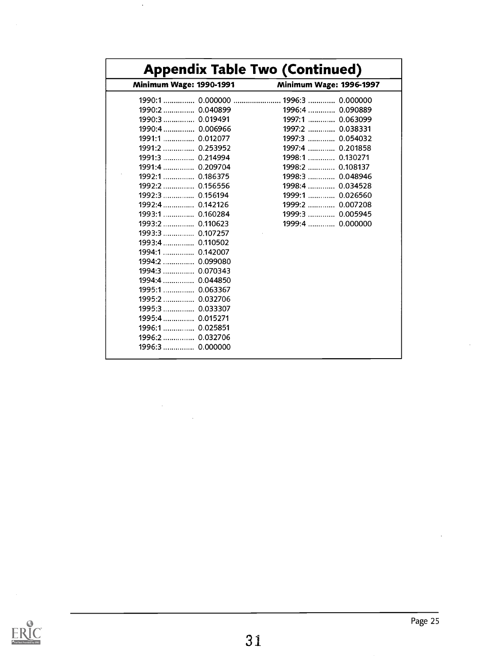| <b>Minimum Wage: 1990-1991</b> | <b>Minimum Wage: 1996-1997</b> |
|--------------------------------|--------------------------------|
|                                |                                |
| 1990:2  0.040899               | 1996:4  0.090889               |
| 1990:3     0.019491            | 1997:1  0.063099               |
| 1990:4  0.006966               | 1997:2  0.038331               |
| 1991:1  0.012077               | 1997:3  0.054032               |
|                                | 1997:4  0.201858               |
| 1991:3  0.214994               | 1998:1  0.130271               |
| 1991:4  0.209704               | 1998:2  0.108137               |
| 1992:1  0.186375               | 1998:3  0.048946               |
| 1992:2  0.156556               | 1998:4  0.034528               |
| 1992:3  0.156194               | 1999:1  0.026560               |
|                                | 1999:2  0.007208               |
|                                | 1999:3  0.005945               |
| 1993:2  0.110623               | 1999:4  0.000000               |
| 1993:3  0.107257               |                                |
| 1993:4  0.110502               |                                |
| 1994:1  0.142007               |                                |
| 1994:2  0.099080               |                                |
| 1994:3  0.070343               |                                |
| 1994:4  0.044850               |                                |
| 1995:1  0.063367               |                                |
| 1995:2  0.032706               |                                |
|                                |                                |
| 1995:4  0.015271               |                                |
| 1996:1  0.025851               |                                |
| 1996:2  0.032706               |                                |
| 1996:3  0.000000               |                                |

 $\ddot{\phantom{0}}$ 

 $\hat{\mathcal{A}}$ 

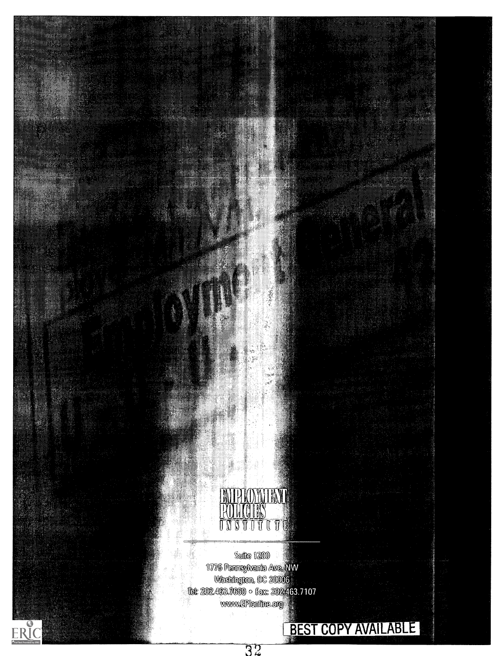